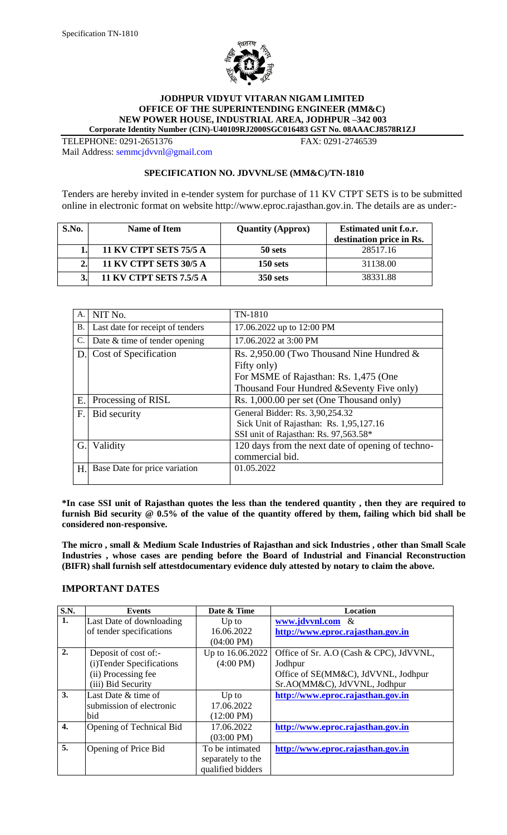

#### **JODHPUR VIDYUT VITARAN NIGAM LIMITED OFFICE OF THE SUPERINTENDING ENGINEER (MM&C) NEW POWER HOUSE, INDUSTRIAL AREA, JODHPUR –342 003 Corporate Identity Number (CIN)-U40109RJ2000SGC016483 GST No. 08AAACJ8578R1ZJ**

TELEPHONE: 0291-2651376 FAX: 0291-2746539 Mail Address: [semmcjdvvnl@gmail.com](mailto:semmcjdvvnl@gmail.com)

#### **SPECIFICATION NO. JDVVNL/SE (MM&C)/TN-1810**

Tenders are hereby invited in e-tender system for purchase of 11 KV CTPT SETS is to be submitted online in electronic format on website http://www.eproc.rajasthan.gov.in. The details are as under:-

| S.No. | Name of Item                   | <b>Quantity (Approx)</b> | Estimated unit f.o.r.<br>destination price in Rs. |
|-------|--------------------------------|--------------------------|---------------------------------------------------|
|       | <b>11 KV CTPT SETS 75/5 A</b>  | 50 sets                  | 28517.16                                          |
|       | <b>11 KV CTPT SETS 30/5 A</b>  | $150$ sets               | 31138.00                                          |
|       | <b>11 KV CTPT SETS 7.5/5 A</b> | <b>350 sets</b>          | 38331.88                                          |

| А.        | NIT No.                          | TN-1810                                           |
|-----------|----------------------------------|---------------------------------------------------|
| <b>B.</b> | Last date for receipt of tenders | 17.06.2022 up to 12:00 PM                         |
| C.        | Date & time of tender opening    | 17.06.2022 at 3:00 PM                             |
| D.        | Cost of Specification            | Rs. 2,950.00 (Two Thousand Nine Hundred $\&$      |
|           |                                  | Fifty only)                                       |
|           |                                  | For MSME of Rajasthan: Rs. 1,475 (One             |
|           |                                  | Thousand Four Hundred & Seventy Five only)        |
| Ε.        | Processing of RISL               | Rs. 1,000.00 per set (One Thousand only)          |
| F.        | Bid security                     | General Bidder: Rs. 3,90,254.32                   |
|           |                                  | Sick Unit of Rajasthan: Rs. 1,95,127.16           |
|           |                                  | SSI unit of Rajasthan: Rs. 97,563.58*             |
| G.        | Validity                         | 120 days from the next date of opening of techno- |
|           |                                  | commercial bid.                                   |
| Η.        | Base Date for price variation    | 01.05.2022                                        |
|           |                                  |                                                   |

**\*In case SSI unit of Rajasthan quotes the less than the tendered quantity , then they are required to furnish Bid security @ 0.5% of the value of the quantity offered by them, failing which bid shall be considered non-responsive.**

**The micro , small & Medium Scale Industries of Rajasthan and sick Industries , other than Small Scale Industries , whose cases are pending before the Board of Industrial and Financial Reconstruction (BIFR) shall furnish self attestdocumentary evidence duly attested by notary to claim the above.**

# **IMPORTANT DATES**

| <b>S.N.</b>      | <b>Events</b>             | Date & Time          | Location                                |
|------------------|---------------------------|----------------------|-----------------------------------------|
| 1.               | Last Date of downloading  | $Up$ to              | www.jdvvnl.com &                        |
|                  | of tender specifications  | 16.06.2022           | http://www.eproc.rajasthan.gov.in       |
|                  |                           | $(04:00 \text{ PM})$ |                                         |
| 2.               | Deposit of cost of:-      | Up to 16.06.2022     | Office of Sr. A.O (Cash & CPC), JdVVNL, |
|                  | (i) Tender Specifications | $(4:00 \text{ PM})$  | Jodhpur                                 |
|                  | (ii) Processing fee       |                      | Office of SE(MM&C), JdVVNL, Jodhpur     |
|                  | (iii) Bid Security        |                      | Sr.AO(MM&C), JdVVNL, Jodhpur            |
| 3.               | Last Date & time of       | $Up$ to              | http://www.eproc.rajasthan.gov.in       |
|                  | submission of electronic  | 17.06.2022           |                                         |
|                  | bid                       | $(12:00 \text{ PM})$ |                                         |
| $\overline{4}$ . | Opening of Technical Bid  | 17.06.2022           | http://www.eproc.rajasthan.gov.in       |
|                  |                           | $(03:00 \text{ PM})$ |                                         |
| 5.               | Opening of Price Bid      | To be intimated      | http://www.eproc.rajasthan.gov.in       |
|                  |                           | separately to the    |                                         |
|                  |                           | qualified bidders    |                                         |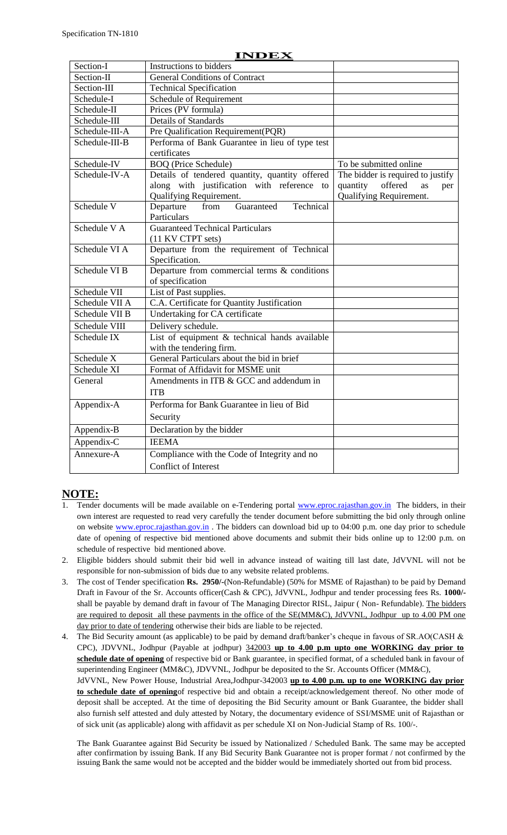|                | INDEX                                                                       |                                                                    |
|----------------|-----------------------------------------------------------------------------|--------------------------------------------------------------------|
| Section-I      | Instructions to bidders                                                     |                                                                    |
| Section-II     | <b>General Conditions of Contract</b>                                       |                                                                    |
| Section-III    | <b>Technical Specification</b>                                              |                                                                    |
| Schedule-I     | Schedule of Requirement                                                     |                                                                    |
| Schedule-II    | Prices (PV formula)                                                         |                                                                    |
| Schedule-III   | <b>Details of Standards</b>                                                 |                                                                    |
| Schedule-III-A | Pre Qualification Requirement(PQR)                                          |                                                                    |
| Schedule-III-B | Performa of Bank Guarantee in lieu of type test<br>certificates             |                                                                    |
| Schedule-IV    | <b>BOQ</b> (Price Schedule)                                                 | To be submitted online                                             |
| Schedule-IV-A  | Details of tendered quantity, quantity offered                              | The bidder is required to justify                                  |
|                | along with justification with reference to<br>Qualifying Requirement.       | quantity<br>offered<br><b>as</b><br>per<br>Qualifying Requirement. |
| Schedule V     | Guaranteed<br>Technical<br>from<br>Departure<br>Particulars                 |                                                                    |
| Schedule VA    | <b>Guaranteed Technical Particulars</b>                                     |                                                                    |
|                | (11 KV CTPT sets)                                                           |                                                                    |
| Schedule VI A  | Departure from the requirement of Technical<br>Specification.               |                                                                    |
| Schedule VI B  | Departure from commercial terms $\&$ conditions                             |                                                                    |
|                | of specification                                                            |                                                                    |
| Schedule VII   | List of Past supplies.                                                      |                                                                    |
| Schedule VII A | C.A. Certificate for Quantity Justification                                 |                                                                    |
| Schedule VII B | Undertaking for CA certificate                                              |                                                                    |
| Schedule VIII  | Delivery schedule.                                                          |                                                                    |
| Schedule IX    | List of equipment $&$ technical hands available<br>with the tendering firm. |                                                                    |
| Schedule X     | General Particulars about the bid in brief                                  |                                                                    |
| Schedule XI    | Format of Affidavit for MSME unit                                           |                                                                    |
| General        | Amendments in ITB & GCC and addendum in                                     |                                                                    |
|                | <b>ITB</b>                                                                  |                                                                    |
| Appendix-A     | Performa for Bank Guarantee in lieu of Bid                                  |                                                                    |
|                | Security                                                                    |                                                                    |
| Appendix-B     | Declaration by the bidder                                                   |                                                                    |
| Appendix-C     | <b>IEEMA</b>                                                                |                                                                    |
| Annexure-A     | Compliance with the Code of Integrity and no                                |                                                                    |
|                | Conflict of Interest                                                        |                                                                    |
|                |                                                                             |                                                                    |

# **INDEX**

# **NOTE:**

- Tender documents will be made available on e-Tendering portal [www.eproc.rajasthan.gov.in](http://www.eproc.rajasthan.gov.in/) The bidders, in their own interest are requested to read very carefully the tender document before submitting the bid only through online on website [www.eproc.rajasthan.gov.in](http://www.eproc.rajasthan.gov.in/). The bidders can download bid up to 04:00 p.m. one day prior to schedule date of opening of respective bid mentioned above documents and submit their bids online up to 12:00 p.m. on schedule of respective bid mentioned above.
- 2. Eligible bidders should submit their bid well in advance instead of waiting till last date, JdVVNL will not be responsible for non-submission of bids due to any website related problems.
- 3. The cost of Tender specification **Rs. 2950/-**(Non-Refundable) (50% for MSME of Rajasthan) to be paid by Demand Draft in Favour of the Sr. Accounts officer(Cash & CPC), JdVVNL, Jodhpur and tender processing fees Rs. **1000/** shall be payable by demand draft in favour of The Managing Director RISL, Jaipur (Non-Refundable). The bidders are required to deposit all these payments in the office of the SE(MM&C), JdVVNL, Jodhpur up to 4.00 PM one day prior to date of tendering otherwise their bids are liable to be rejected.
- 4. The Bid Security amount (as applicable) to be paid by demand draft/banker's cheque in favous of SR.AO(CASH & CPC), JDVVNL, Jodhpur (Payable at jodhpur) 342003 **up to 4.00 p.m upto one WORKING day prior to schedule date of opening** of respective bid or Bank guarantee, in specified format, of a scheduled bank in favour of superintending Engineer (MM&C), JDVVNL, Jodhpur be deposited to the Sr. Accounts Officer (MM&C), JdVVNL, New Power House, Industrial Area,Jodhpur-342003 **up to 4.00 p.m. up to one WORKING day prior to schedule date of opening**of respective bid and obtain a receipt/acknowledgement thereof. No other mode of deposit shall be accepted. At the time of depositing the Bid Security amount or Bank Guarantee, the bidder shall also furnish self attested and duly attested by Notary, the documentary evidence of SSI/MSME unit of Rajasthan or of sick unit (as applicable) along with affidavit as per schedule XI on Non-Judicial Stamp of Rs. 100/-.

The Bank Guarantee against Bid Security be issued by Nationalized / Scheduled Bank. The same may be accepted after confirmation by issuing Bank. If any Bid Security Bank Guarantee not is proper format / not confirmed by the issuing Bank the same would not be accepted and the bidder would be immediately shorted out from bid process.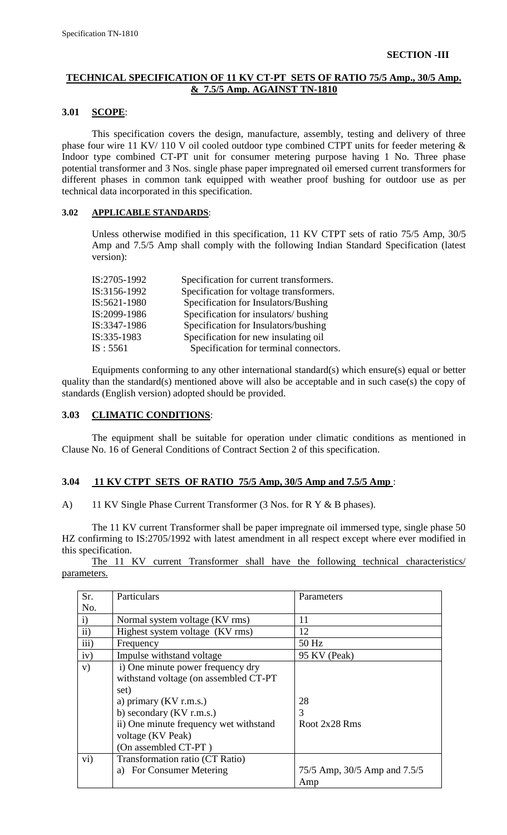# **TECHNICAL SPECIFICATION OF 11 KV CT-PT SETS OF RATIO 75/5 Amp., 30/5 Amp. & 7.5/5 Amp. AGAINST TN-1810**

#### **3.01 SCOPE**:

This specification covers the design, manufacture, assembly, testing and delivery of three phase four wire 11 KV/ 110 V oil cooled outdoor type combined CTPT units for feeder metering & Indoor type combined CT-PT unit for consumer metering purpose having 1 No. Three phase potential transformer and 3 Nos. single phase paper impregnated oil emersed current transformers for different phases in common tank equipped with weather proof bushing for outdoor use as per technical data incorporated in this specification.

#### **3.02 APPLICABLE STANDARDS**:

Unless otherwise modified in this specification, 11 KV CTPT sets of ratio 75/5 Amp, 30/5 Amp and 7.5/5 Amp shall comply with the following Indian Standard Specification (latest version):

| IS:2705-1992 | Specification for current transformers. |
|--------------|-----------------------------------------|
| IS:3156-1992 | Specification for voltage transformers. |
| IS:5621-1980 | Specification for Insulators/Bushing    |
| IS:2099-1986 | Specification for insulators/ bushing   |
| IS:3347-1986 | Specification for Insulators/bushing    |
| IS:335-1983  | Specification for new insulating oil    |
| IS:5561      | Specification for terminal connectors.  |

Equipments conforming to any other international standard(s) which ensure(s) equal or better quality than the standard(s) mentioned above will also be acceptable and in such case(s) the copy of standards (English version) adopted should be provided.

# **3.03 CLIMATIC CONDITIONS**:

The equipment shall be suitable for operation under climatic conditions as mentioned in Clause No. 16 of General Conditions of Contract Section 2 of this specification.

# **3.04 11 KV CTPT SETS OF RATIO 75/5 Amp, 30/5 Amp and 7.5/5 Amp** :

A) 11 KV Single Phase Current Transformer (3 Nos. for R Y & B phases).

The 11 KV current Transformer shall be paper impregnate oil immersed type, single phase 50 HZ confirming to IS:2705/1992 with latest amendment in all respect except where ever modified in this specification.

The 11 KV current Transformer shall have the following technical characteristics/ parameters.

| Sr.          | Particulars                            | Parameters                   |
|--------------|----------------------------------------|------------------------------|
| No.          |                                        |                              |
| $\mathbf{i}$ | Normal system voltage (KV rms)         | 11                           |
| ii)          | Highest system voltage (KV rms)        | 12                           |
| iii)         | Frequency                              | 50 Hz                        |
| iv)          | Impulse withstand voltage              | 95 KV (Peak)                 |
| V)           | i) One minute power frequency dry      |                              |
|              | withstand voltage (on assembled CT-PT  |                              |
|              | set)                                   |                              |
|              | a) primary $(KV \, r.m.s.)$            | 28                           |
|              | b) secondary (KV r.m.s.)               | 3                            |
|              | ii) One minute frequency wet withstand | Root 2x28 Rms                |
|              | voltage (KV Peak)                      |                              |
|              | (On assembled CT-PT)                   |                              |
| $\rm vi)$    | Transformation ratio (CT Ratio)        |                              |
|              | <b>For Consumer Metering</b><br>a)     | 75/5 Amp, 30/5 Amp and 7.5/5 |
|              |                                        | Amp                          |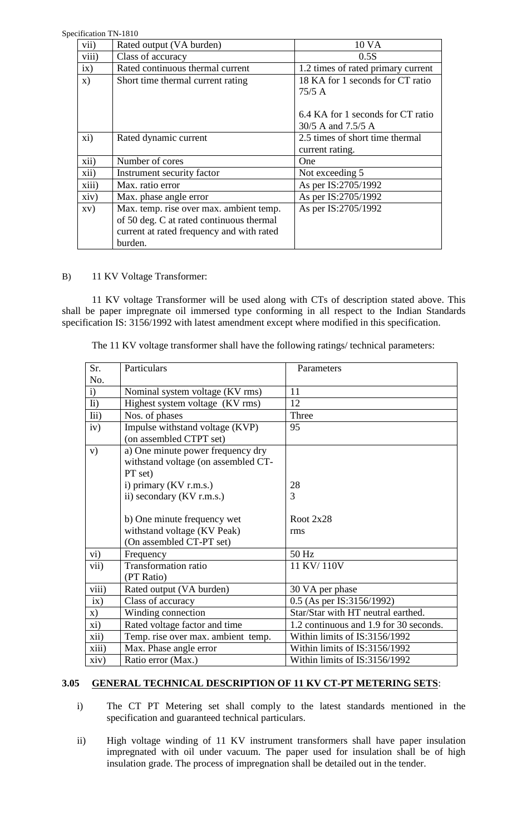Specification TN-1810

|               | CHICAUOII IN-IOIU                         |                                    |
|---------------|-------------------------------------------|------------------------------------|
| vii)          | Rated output (VA burden)                  | 10 VA                              |
| viii)         | Class of accuracy                         | 0.5S                               |
| ix)           | Rated continuous thermal current          | 1.2 times of rated primary current |
| $\mathbf{x})$ | Short time thermal current rating         | 18 KA for 1 seconds for CT ratio   |
|               |                                           | 75/5A                              |
|               |                                           |                                    |
|               |                                           | 6.4 KA for 1 seconds for CT ratio  |
|               |                                           | 30/5 A and 7.5/5 A                 |
| xi)           | Rated dynamic current                     | 2.5 times of short time thermal    |
|               |                                           | current rating.                    |
| xii)          | Number of cores                           | One                                |
| xii)          | Instrument security factor                | Not exceeding 5                    |
| xiii)         | Max. ratio error                          | As per IS:2705/1992                |
| xiv)          | Max. phase angle error                    | As per IS:2705/1992                |
| XV)           | Max. temp. rise over max. ambient temp.   | As per IS:2705/1992                |
|               | of 50 deg. C at rated continuous thermal  |                                    |
|               | current at rated frequency and with rated |                                    |
|               | burden.                                   |                                    |

# B) 11 KV Voltage Transformer:

11 KV voltage Transformer will be used along with CTs of description stated above. This shall be paper impregnate oil immersed type conforming in all respect to the Indian Standards specification IS: 3156/1992 with latest amendment except where modified in this specification.

The 11 KV voltage transformer shall have the following ratings/ technical parameters:

| Sr.              | Particulars                                                                         | Parameters                             |
|------------------|-------------------------------------------------------------------------------------|----------------------------------------|
| No.              |                                                                                     |                                        |
| i)               | Nominal system voltage (KV rms)                                                     | 11                                     |
| $\overline{h}$ ) | Highest system voltage (KV rms)                                                     | 12                                     |
| Iii)             | Nos. of phases                                                                      | Three                                  |
| iv)              | Impulse withstand voltage (KVP)<br>(on assembled CTPT set)                          | 95                                     |
| V)               | a) One minute power frequency dry<br>withstand voltage (on assembled CT-<br>PT set) |                                        |
|                  | i) primary (KV r.m.s.)                                                              | 28                                     |
|                  | ii) secondary (KV r.m.s.)                                                           | 3                                      |
|                  |                                                                                     |                                        |
|                  | b) One minute frequency wet                                                         | Root $2x28$                            |
|                  | withstand voltage (KV Peak)                                                         | rms                                    |
|                  | (On assembled CT-PT set)                                                            |                                        |
| vi)              | Frequency                                                                           | 50 Hz                                  |
| vii)             | Transformation ratio                                                                | 11 KV/110V                             |
|                  | (PT Ratio)                                                                          |                                        |
| viii)            | Rated output (VA burden)                                                            | 30 VA per phase                        |
| ix)              | Class of accuracy                                                                   | 0.5 (As per IS:3156/1992)              |
| <b>x</b> )       | Winding connection                                                                  | Star/Star with HT neutral earthed.     |
| xi)              | Rated voltage factor and time                                                       | 1.2 continuous and 1.9 for 30 seconds. |
| xii)             | Temp. rise over max. ambient temp.                                                  | Within limits of IS:3156/1992          |
| xiii)            | Max. Phase angle error                                                              | Within limits of IS:3156/1992          |
| xiv)             | Ratio error (Max.)                                                                  | Within limits of IS:3156/1992          |

# **3.05 GENERAL TECHNICAL DESCRIPTION OF 11 KV CT-PT METERING SETS**:

- i) The CT PT Metering set shall comply to the latest standards mentioned in the specification and guaranteed technical particulars.
- ii) High voltage winding of 11 KV instrument transformers shall have paper insulation impregnated with oil under vacuum. The paper used for insulation shall be of high insulation grade. The process of impregnation shall be detailed out in the tender.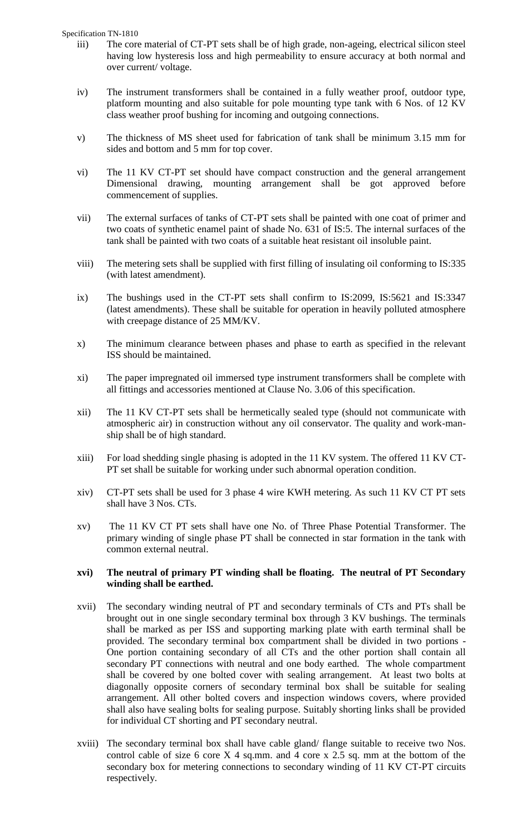Specification TN-1810

- iii) The core material of CT-PT sets shall be of high grade, non-ageing, electrical silicon steel having low hysteresis loss and high permeability to ensure accuracy at both normal and over current/ voltage.
- iv) The instrument transformers shall be contained in a fully weather proof, outdoor type, platform mounting and also suitable for pole mounting type tank with 6 Nos. of 12 KV class weather proof bushing for incoming and outgoing connections.
- v) The thickness of MS sheet used for fabrication of tank shall be minimum 3.15 mm for sides and bottom and 5 mm for top cover.
- vi) The 11 KV CT-PT set should have compact construction and the general arrangement Dimensional drawing, mounting arrangement shall be got approved before commencement of supplies.
- vii) The external surfaces of tanks of CT-PT sets shall be painted with one coat of primer and two coats of synthetic enamel paint of shade No. 631 of IS:5. The internal surfaces of the tank shall be painted with two coats of a suitable heat resistant oil insoluble paint.
- viii) The metering sets shall be supplied with first filling of insulating oil conforming to IS:335 (with latest amendment).
- ix) The bushings used in the CT-PT sets shall confirm to IS:2099, IS:5621 and IS:3347 (latest amendments). These shall be suitable for operation in heavily polluted atmosphere with creepage distance of 25 MM/KV.
- x) The minimum clearance between phases and phase to earth as specified in the relevant ISS should be maintained.
- xi) The paper impregnated oil immersed type instrument transformers shall be complete with all fittings and accessories mentioned at Clause No. 3.06 of this specification.
- xii) The 11 KV CT-PT sets shall be hermetically sealed type (should not communicate with atmospheric air) in construction without any oil conservator. The quality and work-manship shall be of high standard.
- xiii) For load shedding single phasing is adopted in the 11 KV system. The offered 11 KV CT-PT set shall be suitable for working under such abnormal operation condition.
- xiv) CT-PT sets shall be used for 3 phase 4 wire KWH metering. As such 11 KV CT PT sets shall have 3 Nos. CTs.
- xv) The 11 KV CT PT sets shall have one No. of Three Phase Potential Transformer. The primary winding of single phase PT shall be connected in star formation in the tank with common external neutral.

#### **xvi) The neutral of primary PT winding shall be floating. The neutral of PT Secondary winding shall be earthed.**

- xvii) The secondary winding neutral of PT and secondary terminals of CTs and PTs shall be brought out in one single secondary terminal box through 3 KV bushings. The terminals shall be marked as per ISS and supporting marking plate with earth terminal shall be provided. The secondary terminal box compartment shall be divided in two portions - One portion containing secondary of all CTs and the other portion shall contain all secondary PT connections with neutral and one body earthed. The whole compartment shall be covered by one bolted cover with sealing arrangement. At least two bolts at diagonally opposite corners of secondary terminal box shall be suitable for sealing arrangement. All other bolted covers and inspection windows covers, where provided shall also have sealing bolts for sealing purpose. Suitably shorting links shall be provided for individual CT shorting and PT secondary neutral.
- xviii) The secondary terminal box shall have cable gland/ flange suitable to receive two Nos. control cable of size 6 core  $X$  4 sq.mm. and 4 core  $x$  2.5 sq. mm at the bottom of the secondary box for metering connections to secondary winding of 11 KV CT-PT circuits respectively.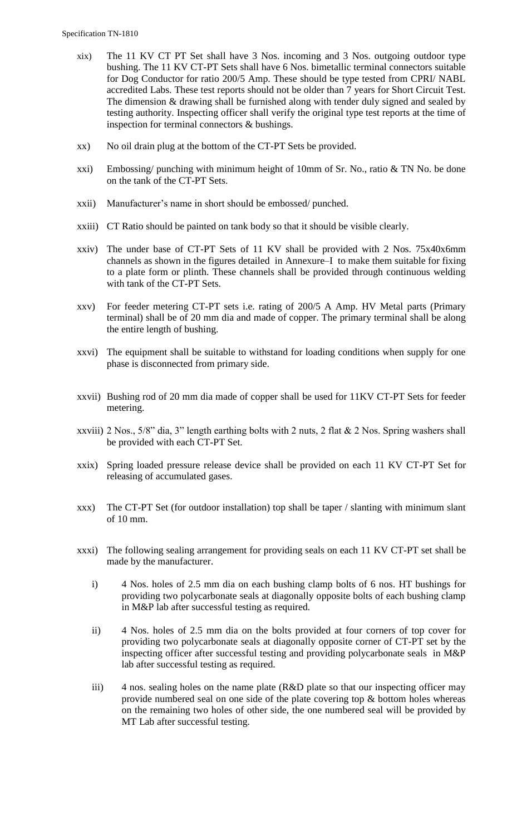- xix) The 11 KV CT PT Set shall have 3 Nos. incoming and 3 Nos. outgoing outdoor type bushing. The 11 KV CT-PT Sets shall have 6 Nos. bimetallic terminal connectors suitable for Dog Conductor for ratio 200/5 Amp. These should be type tested from CPRI/ NABL accredited Labs. These test reports should not be older than 7 years for Short Circuit Test. The dimension & drawing shall be furnished along with tender duly signed and sealed by testing authority. Inspecting officer shall verify the original type test reports at the time of inspection for terminal connectors & bushings.
- xx) No oil drain plug at the bottom of the CT-PT Sets be provided.
- xxi) Embossing/ punching with minimum height of 10mm of Sr. No., ratio & TN No. be done on the tank of the CT-PT Sets.
- xxii) Manufacturer"s name in short should be embossed/ punched.
- xxiii) CT Ratio should be painted on tank body so that it should be visible clearly.
- xxiv) The under base of CT-PT Sets of 11 KV shall be provided with 2 Nos. 75x40x6mm channels as shown in the figures detailed in Annexure–I to make them suitable for fixing to a plate form or plinth. These channels shall be provided through continuous welding with tank of the CT-PT Sets.
- xxv) For feeder metering CT-PT sets i.e. rating of 200/5 A Amp. HV Metal parts (Primary terminal) shall be of 20 mm dia and made of copper. The primary terminal shall be along the entire length of bushing.
- xxvi) The equipment shall be suitable to withstand for loading conditions when supply for one phase is disconnected from primary side.
- xxvii) Bushing rod of 20 mm dia made of copper shall be used for 11KV CT-PT Sets for feeder metering.
- xxviii) 2 Nos., 5/8" dia, 3" length earthing bolts with 2 nuts, 2 flat & 2 Nos. Spring washers shall be provided with each CT-PT Set.
- xxix) Spring loaded pressure release device shall be provided on each 11 KV CT-PT Set for releasing of accumulated gases.
- xxx) The CT-PT Set (for outdoor installation) top shall be taper / slanting with minimum slant of 10 mm.
- xxxi) The following sealing arrangement for providing seals on each 11 KV CT-PT set shall be made by the manufacturer.
	- i) 4 Nos. holes of 2.5 mm dia on each bushing clamp bolts of 6 nos. HT bushings for providing two polycarbonate seals at diagonally opposite bolts of each bushing clamp in M&P lab after successful testing as required.
	- ii) 4 Nos. holes of 2.5 mm dia on the bolts provided at four corners of top cover for providing two polycarbonate seals at diagonally opposite corner of CT-PT set by the inspecting officer after successful testing and providing polycarbonate seals in M&P lab after successful testing as required.
	- iii) 4 nos. sealing holes on the name plate (R&D plate so that our inspecting officer may provide numbered seal on one side of the plate covering top  $\&$  bottom holes whereas on the remaining two holes of other side, the one numbered seal will be provided by MT Lab after successful testing.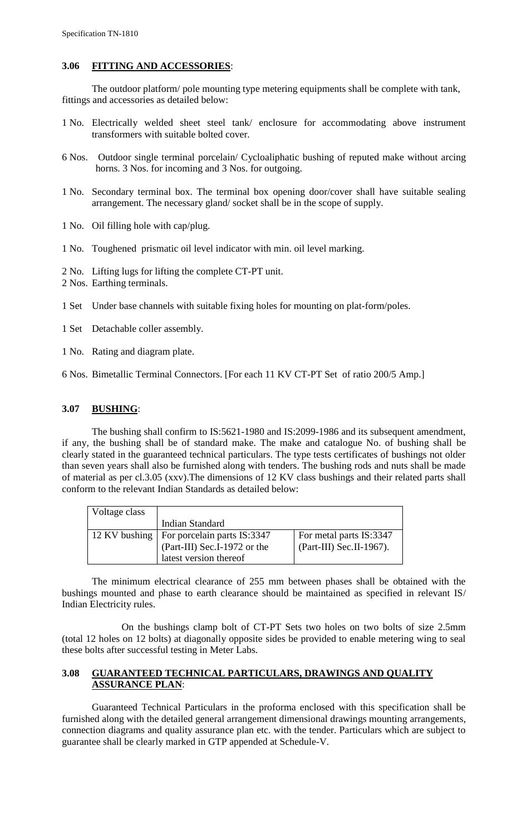# **3.06 FITTING AND ACCESSORIES**:

The outdoor platform/ pole mounting type metering equipments shall be complete with tank, fittings and accessories as detailed below:

- 1 No. Electrically welded sheet steel tank/ enclosure for accommodating above instrument transformers with suitable bolted cover.
- 6 Nos. Outdoor single terminal porcelain/ Cycloaliphatic bushing of reputed make without arcing horns. 3 Nos. for incoming and 3 Nos. for outgoing.
- 1 No. Secondary terminal box. The terminal box opening door/cover shall have suitable sealing arrangement. The necessary gland/ socket shall be in the scope of supply.
- 1 No. Oil filling hole with cap/plug.
- 1 No. Toughened prismatic oil level indicator with min. oil level marking.
- 2 No. Lifting lugs for lifting the complete CT-PT unit.
- 2 Nos. Earthing terminals.
- 1 Set Under base channels with suitable fixing holes for mounting on plat-form/poles.
- 1 Set Detachable coller assembly.
- 1 No. Rating and diagram plate.
- 6 Nos. Bimetallic Terminal Connectors. [For each 11 KV CT-PT Set of ratio 200/5 Amp.]

#### **3.07 BUSHING**:

The bushing shall confirm to IS:5621-1980 and IS:2099-1986 and its subsequent amendment, if any, the bushing shall be of standard make. The make and catalogue No. of bushing shall be clearly stated in the guaranteed technical particulars. The type tests certificates of bushings not older than seven years shall also be furnished along with tenders. The bushing rods and nuts shall be made of material as per cl.3.05 (xxv).The dimensions of 12 KV class bushings and their related parts shall conform to the relevant Indian Standards as detailed below:

| Voltage class |                                             |                          |
|---------------|---------------------------------------------|--------------------------|
|               | <b>Indian Standard</b>                      |                          |
|               | 12 KV bushing   For porcelain parts IS:3347 | For metal parts IS:3347  |
|               | (Part-III) Sec.I-1972 or the                | (Part-III) Sec.II-1967). |
|               | latest version thereof                      |                          |

The minimum electrical clearance of 255 mm between phases shall be obtained with the bushings mounted and phase to earth clearance should be maintained as specified in relevant IS/ Indian Electricity rules.

On the bushings clamp bolt of CT-PT Sets two holes on two bolts of size 2.5mm (total 12 holes on 12 bolts) at diagonally opposite sides be provided to enable metering wing to seal these bolts after successful testing in Meter Labs.

#### **3.08 GUARANTEED TECHNICAL PARTICULARS, DRAWINGS AND QUALITY ASSURANCE PLAN**:

Guaranteed Technical Particulars in the proforma enclosed with this specification shall be furnished along with the detailed general arrangement dimensional drawings mounting arrangements, connection diagrams and quality assurance plan etc. with the tender. Particulars which are subject to guarantee shall be clearly marked in GTP appended at Schedule-V.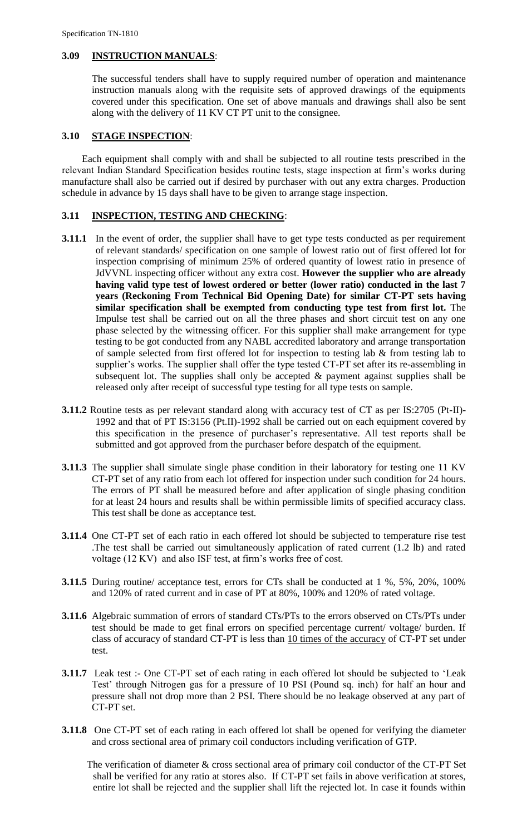## **3.09 INSTRUCTION MANUALS**:

The successful tenders shall have to supply required number of operation and maintenance instruction manuals along with the requisite sets of approved drawings of the equipments covered under this specification. One set of above manuals and drawings shall also be sent along with the delivery of 11 KV CT PT unit to the consignee.

#### **3.10 STAGE INSPECTION**:

 Each equipment shall comply with and shall be subjected to all routine tests prescribed in the relevant Indian Standard Specification besides routine tests, stage inspection at firm"s works during manufacture shall also be carried out if desired by purchaser with out any extra charges. Production schedule in advance by 15 days shall have to be given to arrange stage inspection.

## **3.11 INSPECTION, TESTING AND CHECKING**:

- **3.11.1** In the event of order, the supplier shall have to get type tests conducted as per requirement of relevant standards/ specification on one sample of lowest ratio out of first offered lot for inspection comprising of minimum 25% of ordered quantity of lowest ratio in presence of JdVVNL inspecting officer without any extra cost. **However the supplier who are already having valid type test of lowest ordered or better (lower ratio) conducted in the last 7 years (Reckoning From Technical Bid Opening Date) for similar CT-PT sets having similar specification shall be exempted from conducting type test from first lot.** The Impulse test shall be carried out on all the three phases and short circuit test on any one phase selected by the witnessing officer. For this supplier shall make arrangement for type testing to be got conducted from any NABL accredited laboratory and arrange transportation of sample selected from first offered lot for inspection to testing lab  $\&$  from testing lab to supplier's works. The supplier shall offer the type tested CT-PT set after its re-assembling in subsequent lot. The supplies shall only be accepted  $\&$  payment against supplies shall be released only after receipt of successful type testing for all type tests on sample.
- **3.11.2** Routine tests as per relevant standard along with accuracy test of CT as per IS:2705 (Pt-II)- 1992 and that of PT IS:3156 (Pt.II)-1992 shall be carried out on each equipment covered by this specification in the presence of purchaser"s representative. All test reports shall be submitted and got approved from the purchaser before despatch of the equipment.
- **3.11.3** The supplier shall simulate single phase condition in their laboratory for testing one 11 KV CT-PT set of any ratio from each lot offered for inspection under such condition for 24 hours. The errors of PT shall be measured before and after application of single phasing condition for at least 24 hours and results shall be within permissible limits of specified accuracy class. This test shall be done as acceptance test.
- **3.11.4** One CT-PT set of each ratio in each offered lot should be subjected to temperature rise test .The test shall be carried out simultaneously application of rated current (1.2 lb) and rated voltage (12 KV) and also ISF test, at firm"s works free of cost.
- **3.11.5** During routine/ acceptance test, errors for CTs shall be conducted at 1 %, 5%, 20%, 100% and 120% of rated current and in case of PT at 80%, 100% and 120% of rated voltage.
- **3.11.6** Algebraic summation of errors of standard CTs/PTs to the errors observed on CTs/PTs under test should be made to get final errors on specified percentage current/ voltage/ burden. If class of accuracy of standard CT-PT is less than 10 times of the accuracy of CT-PT set under test.
- **3.11.7** Leak test :- One CT-PT set of each rating in each offered lot should be subjected to 'Leak Test" through Nitrogen gas for a pressure of 10 PSI (Pound sq. inch) for half an hour and pressure shall not drop more than 2 PSI. There should be no leakage observed at any part of CT-PT set.
- **3.11.8** One CT-PT set of each rating in each offered lot shall be opened for verifying the diameter and cross sectional area of primary coil conductors including verification of GTP.

 The verification of diameter & cross sectional area of primary coil conductor of the CT-PT Set shall be verified for any ratio at stores also. If CT-PT set fails in above verification at stores, entire lot shall be rejected and the supplier shall lift the rejected lot. In case it founds within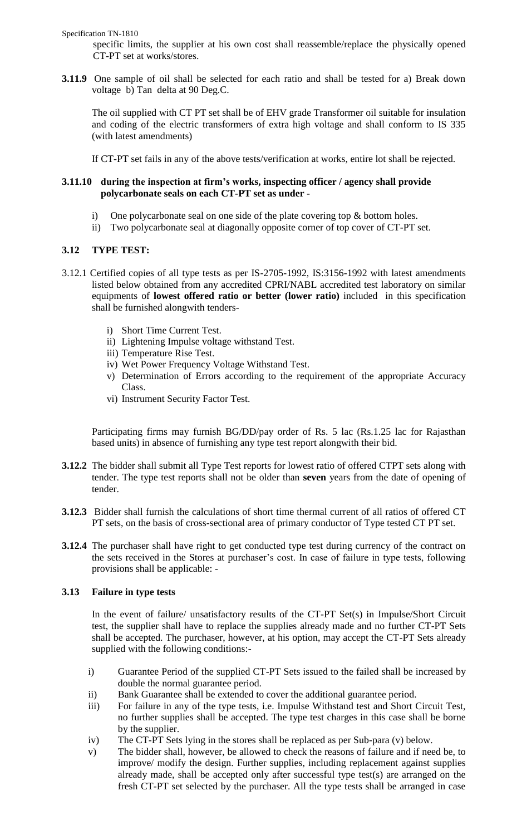Specification TN-1810

specific limits, the supplier at his own cost shall reassemble/replace the physically opened CT-PT set at works/stores.

**3.11.9** One sample of oil shall be selected for each ratio and shall be tested for a) Break down voltage b) Tan delta at 90 Deg.C.

The oil supplied with CT PT set shall be of EHV grade Transformer oil suitable for insulation and coding of the electric transformers of extra high voltage and shall conform to IS 335 (with latest amendments)

If CT-PT set fails in any of the above tests/verification at works, entire lot shall be rejected.

# **3.11.10 during the inspection at firm's works, inspecting officer / agency shall provide polycarbonate seals on each CT-PT set as under -**

- i) One polycarbonate seal on one side of the plate covering top & bottom holes.
- ii) Two polycarbonate seal at diagonally opposite corner of top cover of CT-PT set.

# **3.12 TYPE TEST:**

- 3.12.1 Certified copies of all type tests as per IS-2705-1992, IS:3156-1992 with latest amendments listed below obtained from any accredited CPRI/NABL accredited test laboratory on similar equipments of **lowest offered ratio or better (lower ratio)** included in this specification shall be furnished alongwith tenders
	- i) Short Time Current Test.
	- ii) Lightening Impulse voltage withstand Test.
	- iii) Temperature Rise Test.
	- iv) Wet Power Frequency Voltage Withstand Test.
	- v) Determination of Errors according to the requirement of the appropriate Accuracy Class.
	- vi) Instrument Security Factor Test.

Participating firms may furnish BG/DD/pay order of Rs. 5 lac (Rs.1.25 lac for Rajasthan based units) in absence of furnishing any type test report alongwith their bid.

- **3.12.2** The bidder shall submit all Type Test reports for lowest ratio of offered CTPT sets along with tender. The type test reports shall not be older than **seven** years from the date of opening of tender.
- **3.12.3** Bidder shall furnish the calculations of short time thermal current of all ratios of offered CT PT sets, on the basis of cross-sectional area of primary conductor of Type tested CT PT set.
- **3.12.4** The purchaser shall have right to get conducted type test during currency of the contract on the sets received in the Stores at purchaser's cost. In case of failure in type tests, following provisions shall be applicable: -

# **3.13 Failure in type tests**

In the event of failure/ unsatisfactory results of the CT-PT Set(s) in Impulse/Short Circuit test, the supplier shall have to replace the supplies already made and no further CT-PT Sets shall be accepted. The purchaser, however, at his option, may accept the CT-PT Sets already supplied with the following conditions:-

- i) Guarantee Period of the supplied CT-PT Sets issued to the failed shall be increased by double the normal guarantee period.
- ii) Bank Guarantee shall be extended to cover the additional guarantee period.
- iii) For failure in any of the type tests, i.e. Impulse Withstand test and Short Circuit Test, no further supplies shall be accepted. The type test charges in this case shall be borne by the supplier.
- iv) The CT-PT Sets lying in the stores shall be replaced as per Sub-para (v) below.
- v) The bidder shall, however, be allowed to check the reasons of failure and if need be, to improve/ modify the design. Further supplies, including replacement against supplies already made, shall be accepted only after successful type test(s) are arranged on the fresh CT-PT set selected by the purchaser. All the type tests shall be arranged in case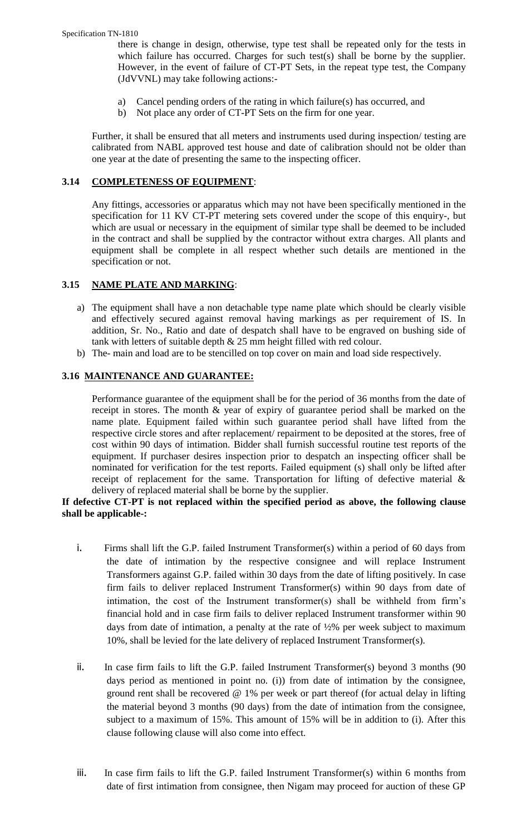there is change in design, otherwise, type test shall be repeated only for the tests in which failure has occurred. Charges for such test(s) shall be borne by the supplier. However, in the event of failure of CT-PT Sets, in the repeat type test, the Company (JdVVNL) may take following actions:-

- a) Cancel pending orders of the rating in which failure(s) has occurred, and
- b) Not place any order of CT-PT Sets on the firm for one year.

Further, it shall be ensured that all meters and instruments used during inspection/ testing are calibrated from NABL approved test house and date of calibration should not be older than one year at the date of presenting the same to the inspecting officer.

# **3.14 COMPLETENESS OF EQUIPMENT**:

Any fittings, accessories or apparatus which may not have been specifically mentioned in the specification for 11 KV CT-PT metering sets covered under the scope of this enquiry-, but which are usual or necessary in the equipment of similar type shall be deemed to be included in the contract and shall be supplied by the contractor without extra charges. All plants and equipment shall be complete in all respect whether such details are mentioned in the specification or not.

# **3.15 NAME PLATE AND MARKING**:

- a) The equipment shall have a non detachable type name plate which should be clearly visible and effectively secured against removal having markings as per requirement of IS. In addition, Sr. No., Ratio and date of despatch shall have to be engraved on bushing side of tank with letters of suitable depth & 25 mm height filled with red colour.
- b) The- main and load are to be stencilled on top cover on main and load side respectively.

# **3.16 MAINTENANCE AND GUARANTEE:**

Performance guarantee of the equipment shall be for the period of 36 months from the date of receipt in stores. The month & year of expiry of guarantee period shall be marked on the name plate. Equipment failed within such guarantee period shall have lifted from the respective circle stores and after replacement/ repairment to be deposited at the stores, free of cost within 90 days of intimation. Bidder shall furnish successful routine test reports of the equipment. If purchaser desires inspection prior to despatch an inspecting officer shall be nominated for verification for the test reports. Failed equipment (s) shall only be lifted after receipt of replacement for the same. Transportation for lifting of defective material & delivery of replaced material shall be borne by the supplier.

# **If defective CT-PT is not replaced within the specified period as above, the following clause shall be applicable-:**

- i. Firms shall lift the G.P. failed Instrument Transformer(s) within a period of 60 days from the date of intimation by the respective consignee and will replace Instrument Transformers against G.P. failed within 30 days from the date of lifting positively. In case firm fails to deliver replaced Instrument Transformer(s) within 90 days from date of intimation, the cost of the Instrument transformer(s) shall be withheld from firm"s financial hold and in case firm fails to deliver replaced Instrument transformer within 90 days from date of intimation, a penalty at the rate of ½% per week subject to maximum 10%, shall be levied for the late delivery of replaced Instrument Transformer(s).
- ii. In case firm fails to lift the G.P. failed Instrument Transformer(s) beyond 3 months (90 days period as mentioned in point no. (i)) from date of intimation by the consignee, ground rent shall be recovered @ 1% per week or part thereof (for actual delay in lifting the material beyond 3 months (90 days) from the date of intimation from the consignee, subject to a maximum of 15%. This amount of 15% will be in addition to (i). After this clause following clause will also come into effect.
- iii. In case firm fails to lift the G.P. failed Instrument Transformer(s) within 6 months from date of first intimation from consignee, then Nigam may proceed for auction of these GP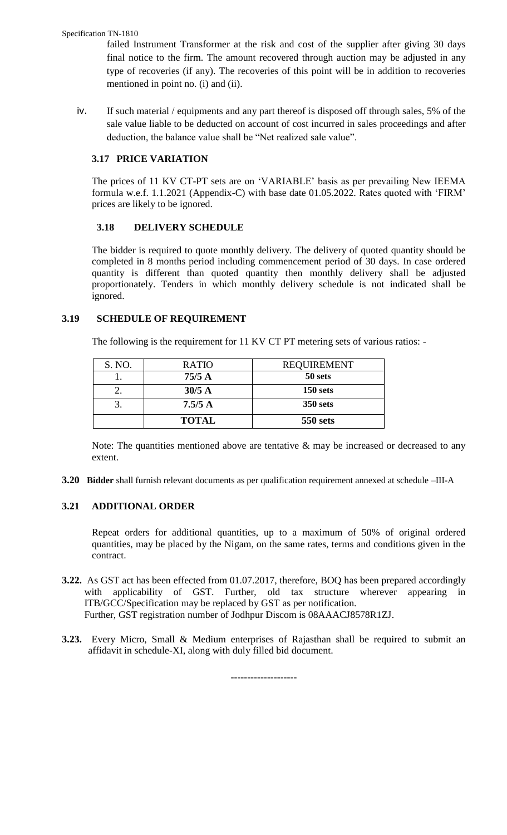#### Specification TN-1810

failed Instrument Transformer at the risk and cost of the supplier after giving 30 days final notice to the firm. The amount recovered through auction may be adjusted in any type of recoveries (if any). The recoveries of this point will be in addition to recoveries mentioned in point no. (i) and (ii).

iv. If such material / equipments and any part thereof is disposed off through sales, 5% of the sale value liable to be deducted on account of cost incurred in sales proceedings and after deduction, the balance value shall be "Net realized sale value".

# **3.17 PRICE VARIATION**

The prices of 11 KV CT-PT sets are on "VARIABLE" basis as per prevailing New IEEMA formula w.e.f. 1.1.2021 (Appendix-C) with base date 01.05.2022. Rates quoted with "FIRM" prices are likely to be ignored.

# **3.18 DELIVERY SCHEDULE**

The bidder is required to quote monthly delivery. The delivery of quoted quantity should be completed in 8 months period including commencement period of 30 days. In case ordered quantity is different than quoted quantity then monthly delivery shall be adjusted proportionately. Tenders in which monthly delivery schedule is not indicated shall be ignored.

# **3.19 SCHEDULE OF REQUIREMENT**

The following is the requirement for 11 KV CT PT metering sets of various ratios: -

| S. NO. | <b>RATIO</b> | <b>REQUIREMENT</b> |
|--------|--------------|--------------------|
|        | 75/5A        | 50 sets            |
| ـ ت    | $30/5$ A     | $150$ sets         |
|        | 7.5/5A       | <b>350 sets</b>    |
|        | <b>TOTAL</b> | <b>550 sets</b>    |

Note: The quantities mentioned above are tentative  $\&$  may be increased or decreased to any extent.

**3.20 Bidder** shall furnish relevant documents as per qualification requirement annexed at schedule –III-A

# **3.21 ADDITIONAL ORDER**

Repeat orders for additional quantities, up to a maximum of 50% of original ordered quantities, may be placed by the Nigam, on the same rates, terms and conditions given in the contract.

- **3.22.** As GST act has been effected from 01.07.2017, therefore, BOQ has been prepared accordingly with applicability of GST. Further, old tax structure wherever appearing in ITB/GCC/Specification may be replaced by GST as per notification. Further, GST registration number of Jodhpur Discom is 08AAACJ8578R1ZJ.
- **3.23.** Every Micro, Small & Medium enterprises of Rajasthan shall be required to submit an affidavit in schedule-XI, along with duly filled bid document.

--------------------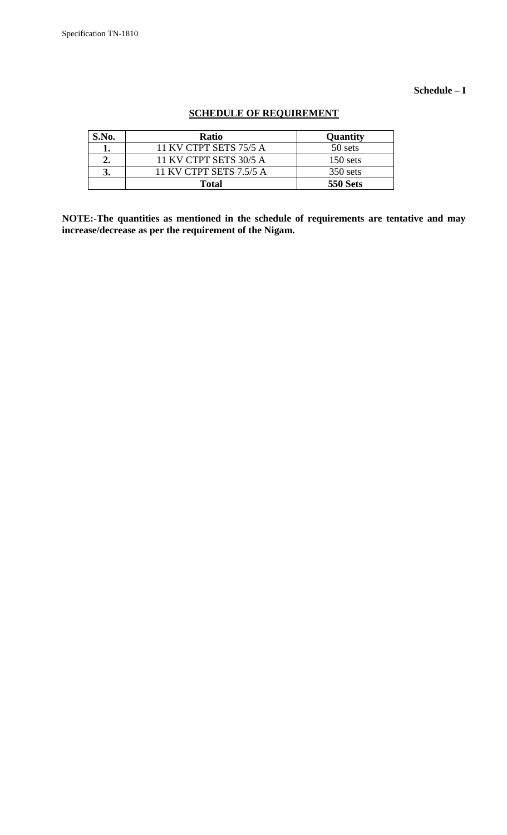## **Schedule – I**

| S.No. | <b>Ratio</b>            | Quantity        |
|-------|-------------------------|-----------------|
|       | 11 KV CTPT SETS 75/5 A  | 50 sets         |
| 2.    | 11 KV CTPT SETS 30/5 A  | $150$ sets      |
| 3.    | 11 KV CTPT SETS 7.5/5 A | $350$ sets      |
|       | <b>Total</b>            | <b>550 Sets</b> |

# **SCHEDULE OF REQUIREMENT**

**NOTE:-The quantities as mentioned in the schedule of requirements are tentative and may increase/decrease as per the requirement of the Nigam.**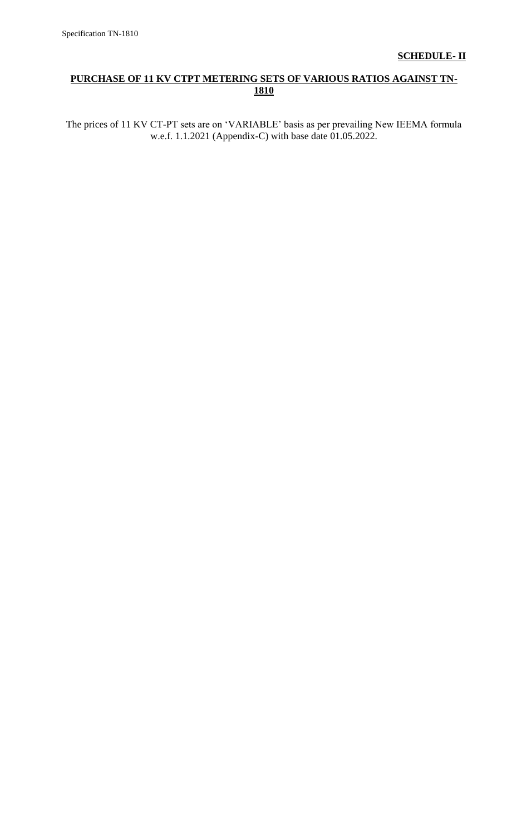# **PURCHASE OF 11 KV CTPT METERING SETS OF VARIOUS RATIOS AGAINST TN-1810**

The prices of 11 KV CT-PT sets are on "VARIABLE" basis as per prevailing New IEEMA formula w.e.f. 1.1.2021 (Appendix-C) with base date 01.05.2022.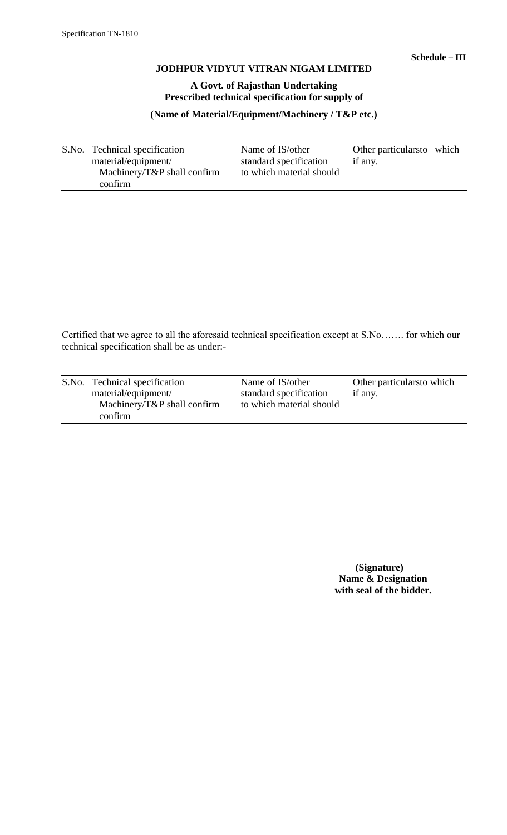# **A Govt. of Rajasthan Undertaking Prescribed technical specification for supply of**

**(Name of Material/Equipment/Machinery / T&P etc.)**

S.No. Technical specification Name of IS/other Other particularsto which material/equipment/ standard specification if any. standard specification if any. Machinery/T&P shall confirm to which material should confirm

Certified that we agree to all the aforesaid technical specification except at S.No……. for which our technical specification shall be as under:-

| S.No. Technical specification   | Name of IS/other         | Other particulars to which |
|---------------------------------|--------------------------|----------------------------|
|                                 |                          |                            |
| material/equipment/             | standard specification   | if any.                    |
| Machinery/ $T\&P$ shall confirm | to which material should |                            |
| confirm                         |                          |                            |

 **(Signature) Name & Designation with seal of the bidder.**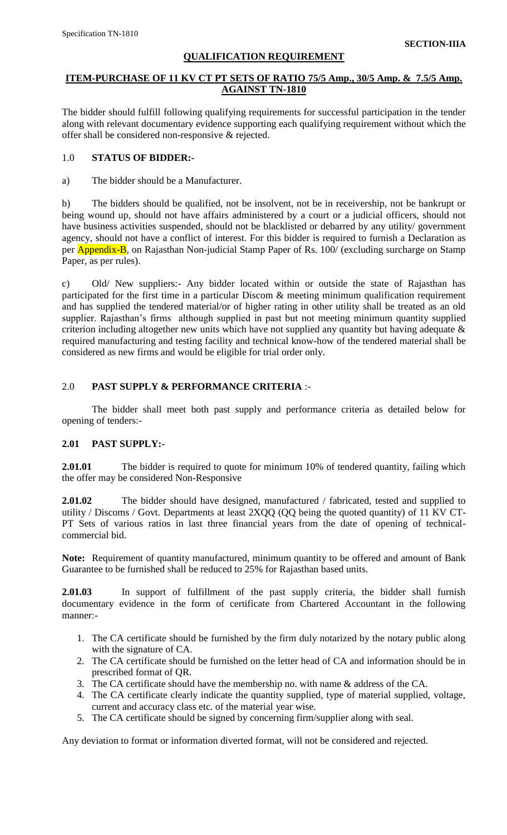# **QUALIFICATION REQUIREMENT**

# **ITEM-PURCHASE OF 11 KV CT PT SETS OF RATIO 75/5 Amp., 30/5 Amp. & 7.5/5 Amp. AGAINST TN-1810**

The bidder should fulfill following qualifying requirements for successful participation in the tender along with relevant documentary evidence supporting each qualifying requirement without which the offer shall be considered non-responsive & rejected.

# 1.0 **STATUS OF BIDDER:-**

a) The bidder should be a Manufacturer.

b) The bidders should be qualified, not be insolvent, not be in receivership, not be bankrupt or being wound up, should not have affairs administered by a court or a judicial officers, should not have business activities suspended, should not be blacklisted or debarred by any utility/ government agency, should not have a conflict of interest. For this bidder is required to furnish a Declaration as per **Appendix-B**, on Rajasthan Non-judicial Stamp Paper of Rs. 100/ (excluding surcharge on Stamp Paper, as per rules).

c) Old/ New suppliers:- Any bidder located within or outside the state of Rajasthan has participated for the first time in a particular Discom & meeting minimum qualification requirement and has supplied the tendered material/or of higher rating in other utility shall be treated as an old supplier. Rajasthan's firms although supplied in past but not meeting minimum quantity supplied criterion including altogether new units which have not supplied any quantity but having adequate & required manufacturing and testing facility and technical know-how of the tendered material shall be considered as new firms and would be eligible for trial order only.

# 2.0 **PAST SUPPLY & PERFORMANCE CRITERIA** :-

The bidder shall meet both past supply and performance criteria as detailed below for opening of tenders:-

# **2.01 PAST SUPPLY:-**

**2.01.01** The bidder is required to quote for minimum 10% of tendered quantity, failing which the offer may be considered Non-Responsive

**2.01.02** The bidder should have designed, manufactured / fabricated, tested and supplied to utility / Discoms / Govt. Departments at least 2XQQ (QQ being the quoted quantity) of 11 KV CT-PT Sets of various ratios in last three financial years from the date of opening of technicalcommercial bid.

**Note:** Requirement of quantity manufactured, minimum quantity to be offered and amount of Bank Guarantee to be furnished shall be reduced to 25% for Rajasthan based units.

**2.01.03** In support of fulfillment of the past supply criteria, the bidder shall furnish documentary evidence in the form of certificate from Chartered Accountant in the following manner:-

- 1. The CA certificate should be furnished by the firm duly notarized by the notary public along with the signature of CA.
- 2. The CA certificate should be furnished on the letter head of CA and information should be in prescribed format of QR.
- 3. The CA certificate should have the membership no. with name & address of the CA.
- 4. The CA certificate clearly indicate the quantity supplied, type of material supplied, voltage, current and accuracy class etc. of the material year wise.
- 5. The CA certificate should be signed by concerning firm/supplier along with seal.

Any deviation to format or information diverted format, will not be considered and rejected.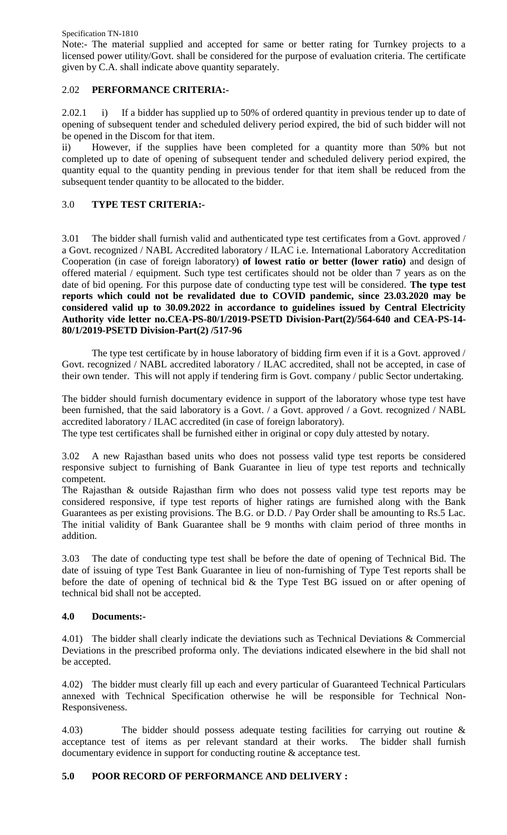Specification TN-1810

Note:- The material supplied and accepted for same or better rating for Turnkey projects to a licensed power utility/Govt. shall be considered for the purpose of evaluation criteria. The certificate given by C.A. shall indicate above quantity separately.

# 2.02 **PERFORMANCE CRITERIA:-**

2.02.1 i) If a bidder has supplied up to 50% of ordered quantity in previous tender up to date of opening of subsequent tender and scheduled delivery period expired, the bid of such bidder will not be opened in the Discom for that item.

ii) However, if the supplies have been completed for a quantity more than 50% but not completed up to date of opening of subsequent tender and scheduled delivery period expired, the quantity equal to the quantity pending in previous tender for that item shall be reduced from the subsequent tender quantity to be allocated to the bidder.

# 3.0 **TYPE TEST CRITERIA:-**

3.01 The bidder shall furnish valid and authenticated type test certificates from a Govt. approved / a Govt. recognized / NABL Accredited laboratory / ILAC i.e. International Laboratory Accreditation Cooperation (in case of foreign laboratory) **of lowest ratio or better (lower ratio)** and design of offered material / equipment. Such type test certificates should not be older than 7 years as on the date of bid opening. For this purpose date of conducting type test will be considered. **The type test reports which could not be revalidated due to COVID pandemic, since 23.03.2020 may be considered valid up to 30.09.2022 in accordance to guidelines issued by Central Electricity Authority vide letter no.CEA-PS-80/1/2019-PSETD Division-Part(2)/564-640 and CEA-PS-14- 80/1/2019-PSETD Division-Part(2) /517-96**

The type test certificate by in house laboratory of bidding firm even if it is a Govt. approved / Govt. recognized / NABL accredited laboratory / ILAC accredited, shall not be accepted, in case of their own tender. This will not apply if tendering firm is Govt. company / public Sector undertaking.

The bidder should furnish documentary evidence in support of the laboratory whose type test have been furnished, that the said laboratory is a Govt. / a Govt. approved / a Govt. recognized / NABL accredited laboratory / ILAC accredited (in case of foreign laboratory).

The type test certificates shall be furnished either in original or copy duly attested by notary.

3.02 A new Rajasthan based units who does not possess valid type test reports be considered responsive subject to furnishing of Bank Guarantee in lieu of type test reports and technically competent.

The Rajasthan & outside Rajasthan firm who does not possess valid type test reports may be considered responsive, if type test reports of higher ratings are furnished along with the Bank Guarantees as per existing provisions. The B.G. or D.D. / Pay Order shall be amounting to Rs.5 Lac. The initial validity of Bank Guarantee shall be 9 months with claim period of three months in addition.

3.03 The date of conducting type test shall be before the date of opening of Technical Bid. The date of issuing of type Test Bank Guarantee in lieu of non-furnishing of Type Test reports shall be before the date of opening of technical bid & the Type Test BG issued on or after opening of technical bid shall not be accepted.

# **4.0 Documents:-**

4.01) The bidder shall clearly indicate the deviations such as Technical Deviations & Commercial Deviations in the prescribed proforma only. The deviations indicated elsewhere in the bid shall not be accepted.

4.02) The bidder must clearly fill up each and every particular of Guaranteed Technical Particulars annexed with Technical Specification otherwise he will be responsible for Technical Non-Responsiveness.

4.03) The bidder should possess adequate testing facilities for carrying out routine & acceptance test of items as per relevant standard at their works. The bidder shall furnish documentary evidence in support for conducting routine & acceptance test.

# **5.0 POOR RECORD OF PERFORMANCE AND DELIVERY :**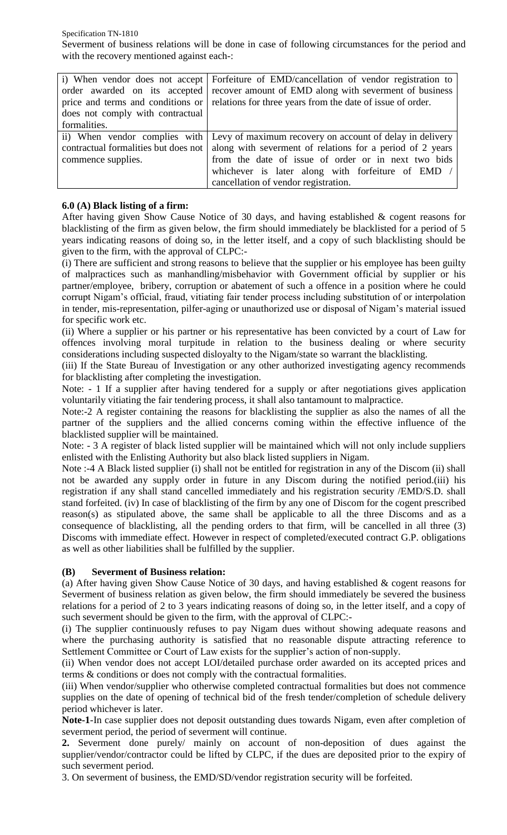Specification TN-1810 Severment of business relations will be done in case of following circumstances for the period and with the recovery mentioned against each-:

|                                      | i) When vendor does not accept Forfeiture of EMD/cancellation of vendor registration to |
|--------------------------------------|-----------------------------------------------------------------------------------------|
| order awarded on its accepted        | recover amount of EMD along with severment of business                                  |
| price and terms and conditions or    | relations for three years from the date of issue of order.                              |
| does not comply with contractual     |                                                                                         |
| formalities.                         |                                                                                         |
|                                      | ii) When vendor complies with Levy of maximum recovery on account of delay in delivery  |
| contractual formalities but does not | along with severment of relations for a period of 2 years                               |
| commence supplies.                   | from the date of issue of order or in next two bids                                     |
|                                      | whichever is later along with forfeiture of EMD /                                       |
|                                      | cancellation of vendor registration.                                                    |

# **6.0 (A) Black listing of a firm:**

After having given Show Cause Notice of 30 days, and having established & cogent reasons for blacklisting of the firm as given below, the firm should immediately be blacklisted for a period of 5 years indicating reasons of doing so, in the letter itself, and a copy of such blacklisting should be given to the firm, with the approval of CLPC:-

(i) There are sufficient and strong reasons to believe that the supplier or his employee has been guilty of malpractices such as manhandling/misbehavior with Government official by supplier or his partner/employee, bribery, corruption or abatement of such a offence in a position where he could corrupt Nigam"s official, fraud, vitiating fair tender process including substitution of or interpolation in tender, mis-representation, pilfer-aging or unauthorized use or disposal of Nigam"s material issued for specific work etc.

(ii) Where a supplier or his partner or his representative has been convicted by a court of Law for offences involving moral turpitude in relation to the business dealing or where security considerations including suspected disloyalty to the Nigam/state so warrant the blacklisting.

(iii) If the State Bureau of Investigation or any other authorized investigating agency recommends for blacklisting after completing the investigation.

Note: - 1 If a supplier after having tendered for a supply or after negotiations gives application voluntarily vitiating the fair tendering process, it shall also tantamount to malpractice.

Note:-2 A register containing the reasons for blacklisting the supplier as also the names of all the partner of the suppliers and the allied concerns coming within the effective influence of the blacklisted supplier will be maintained.

Note: - 3 A register of black listed supplier will be maintained which will not only include suppliers enlisted with the Enlisting Authority but also black listed suppliers in Nigam.

Note :-4 A Black listed supplier (i) shall not be entitled for registration in any of the Discom (ii) shall not be awarded any supply order in future in any Discom during the notified period.(iii) his registration if any shall stand cancelled immediately and his registration security /EMD/S.D. shall stand forfeited. (iv) In case of blacklisting of the firm by any one of Discom for the cogent prescribed reason(s) as stipulated above, the same shall be applicable to all the three Discoms and as a consequence of blacklisting, all the pending orders to that firm, will be cancelled in all three (3) Discoms with immediate effect. However in respect of completed/executed contract G.P. obligations as well as other liabilities shall be fulfilled by the supplier.

# **(B) Severment of Business relation:**

(a) After having given Show Cause Notice of 30 days, and having established & cogent reasons for Severment of business relation as given below, the firm should immediately be severed the business relations for a period of 2 to 3 years indicating reasons of doing so, in the letter itself, and a copy of such severment should be given to the firm, with the approval of CLPC:-

(i) The supplier continuously refuses to pay Nigam dues without showing adequate reasons and where the purchasing authority is satisfied that no reasonable dispute attracting reference to Settlement Committee or Court of Law exists for the supplier's action of non-supply.

(ii) When vendor does not accept LOI/detailed purchase order awarded on its accepted prices and terms & conditions or does not comply with the contractual formalities.

(iii) When vendor/supplier who otherwise completed contractual formalities but does not commence supplies on the date of opening of technical bid of the fresh tender/completion of schedule delivery period whichever is later.

**Note-1**-In case supplier does not deposit outstanding dues towards Nigam, even after completion of severment period, the period of severment will continue.

**2.** Severment done purely/ mainly on account of non-deposition of dues against the supplier/vendor/contractor could be lifted by CLPC, if the dues are deposited prior to the expiry of such severment period.

3. On severment of business, the EMD/SD/vendor registration security will be forfeited.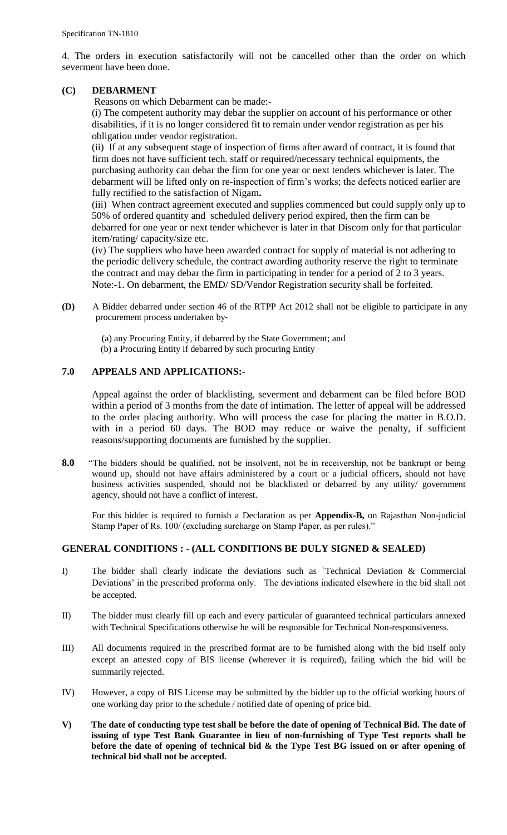4. The orders in execution satisfactorily will not be cancelled other than the order on which severment have been done.

# **(C) DEBARMENT**

Reasons on which Debarment can be made:-

(i) The competent authority may debar the supplier on account of his performance or other disabilities, if it is no longer considered fit to remain under vendor registration as per his obligation under vendor registration.

(ii) If at any subsequent stage of inspection of firms after award of contract, it is found that firm does not have sufficient tech. staff or required/necessary technical equipments, the purchasing authority can debar the firm for one year or next tenders whichever is later. The debarment will be lifted only on re-inspection of firm"s works; the defects noticed earlier are fully rectified to the satisfaction of Nigam**.** 

(iii) When contract agreement executed and supplies commenced but could supply only up to 50% of ordered quantity and scheduled delivery period expired, then the firm can be debarred for one year or next tender whichever is later in that Discom only for that particular item/rating/ capacity/size etc.

(iv) The suppliers who have been awarded contract for supply of material is not adhering to the periodic delivery schedule, the contract awarding authority reserve the right to terminate the contract and may debar the firm in participating in tender for a period of 2 to 3 years. Note:-1. On debarment, the EMD/ SD/Vendor Registration security shall be forfeited.

**(D)** A Bidder debarred under section 46 of the RTPP Act 2012 shall not be eligible to participate in any procurement process undertaken by‐

 (a) any Procuring Entity, if debarred by the State Government; and (b) a Procuring Entity if debarred by such procuring Entity

## **7.0 APPEALS AND APPLICATIONS:-**

Appeal against the order of blacklisting, severment and debarment can be filed before BOD within a period of 3 months from the date of intimation. The letter of appeal will be addressed to the order placing authority. Who will process the case for placing the matter in B.O.D. with in a period 60 days. The BOD may reduce or waive the penalty, if sufficient reasons/supporting documents are furnished by the supplier.

**8.0** "The bidders should be qualified, not be insolvent, not be in receivership, not be bankrupt or being wound up, should not have affairs administered by a court or a judicial officers, should not have business activities suspended, should not be blacklisted or debarred by any utility/ government agency, should not have a conflict of interest.

For this bidder is required to furnish a Declaration as per **Appendix-B,** on Rajasthan Non-judicial Stamp Paper of Rs. 100/ (excluding surcharge on Stamp Paper, as per rules)."

#### **GENERAL CONDITIONS : - (ALL CONDITIONS BE DULY SIGNED & SEALED)**

- I) The bidder shall clearly indicate the deviations such as `Technical Deviation & Commercial Deviations' in the prescribed proforma only. The deviations indicated elsewhere in the bid shall not be accepted.
- II) The bidder must clearly fill up each and every particular of guaranteed technical particulars annexed with Technical Specifications otherwise he will be responsible for Technical Non-responsiveness.
- III) All documents required in the prescribed format are to be furnished along with the bid itself only except an attested copy of BIS license (wherever it is required), failing which the bid will be summarily rejected.
- IV) However, a copy of BIS License may be submitted by the bidder up to the official working hours of one working day prior to the schedule / notified date of opening of price bid.
- **V) The date of conducting type test shall be before the date of opening of Technical Bid. The date of issuing of type Test Bank Guarantee in lieu of non-furnishing of Type Test reports shall be before the date of opening of technical bid & the Type Test BG issued on or after opening of technical bid shall not be accepted.**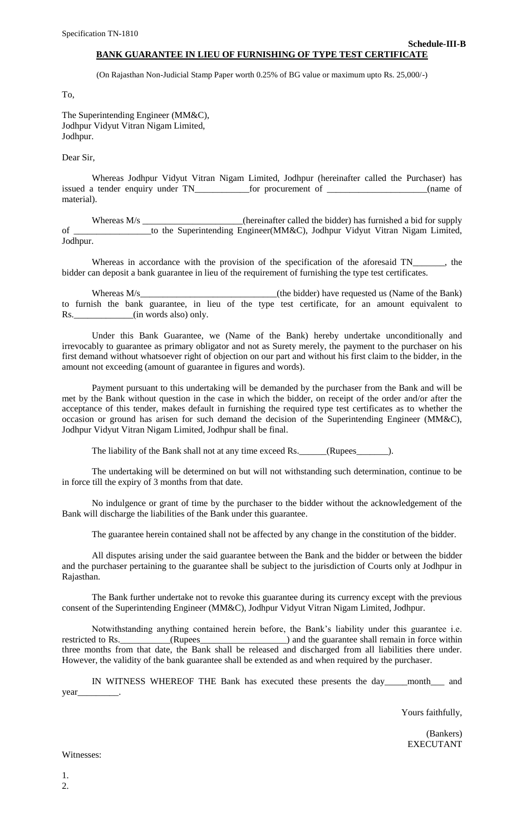## **BANK GUARANTEE IN LIEU OF FURNISHING OF TYPE TEST CERTIFICATE**

(On Rajasthan Non-Judicial Stamp Paper worth 0.25% of BG value or maximum upto Rs. 25,000/-)

To,

The Superintending Engineer (MM&C), Jodhpur Vidyut Vitran Nigam Limited, Jodhpur.

Dear Sir,

Whereas Jodhpur Vidyut Vitran Nigam Limited, Jodhpur (hereinafter called the Purchaser) has issued a tender enquiry under TN\_\_\_\_\_\_\_\_\_\_\_\_for procurement of \_\_\_\_\_\_\_\_\_\_\_\_\_\_\_\_\_\_\_\_\_\_(name of material).

Whereas M/s \_\_\_\_\_\_\_\_\_\_\_\_\_\_\_\_\_\_\_\_\_\_(hereinafter called the bidder) has furnished a bid for supply of \_\_\_\_\_\_\_\_\_\_\_\_\_\_\_\_\_to the Superintending Engineer(MM&C), Jodhpur Vidyut Vitran Nigam Limited, Jodhpur.

Whereas in accordance with the provision of the specification of the aforesaid TN\_\_\_\_\_\_, the bidder can deposit a bank guarantee in lieu of the requirement of furnishing the type test certificates.

Whereas M/s\_\_\_\_\_\_\_\_\_\_\_\_\_\_\_\_\_\_\_\_\_\_\_\_\_\_\_\_\_\_(the bidder) have requested us (Name of the Bank) to furnish the bank guarantee, in lieu of the type test certificate, for an amount equivalent to Rs.  $(in words also) only.$ 

Under this Bank Guarantee, we (Name of the Bank) hereby undertake unconditionally and irrevocably to guarantee as primary obligator and not as Surety merely, the payment to the purchaser on his first demand without whatsoever right of objection on our part and without his first claim to the bidder, in the amount not exceeding (amount of guarantee in figures and words).

Payment pursuant to this undertaking will be demanded by the purchaser from the Bank and will be met by the Bank without question in the case in which the bidder, on receipt of the order and/or after the acceptance of this tender, makes default in furnishing the required type test certificates as to whether the occasion or ground has arisen for such demand the decision of the Superintending Engineer (MM&C), Jodhpur Vidyut Vitran Nigam Limited, Jodhpur shall be final.

The liability of the Bank shall not at any time exceed Rs. (Rupees \_\_\_\_\_\_\_\_).

The undertaking will be determined on but will not withstanding such determination, continue to be in force till the expiry of 3 months from that date.

No indulgence or grant of time by the purchaser to the bidder without the acknowledgement of the Bank will discharge the liabilities of the Bank under this guarantee.

The guarantee herein contained shall not be affected by any change in the constitution of the bidder.

All disputes arising under the said guarantee between the Bank and the bidder or between the bidder and the purchaser pertaining to the guarantee shall be subject to the jurisdiction of Courts only at Jodhpur in Rajasthan.

The Bank further undertake not to revoke this guarantee during its currency except with the previous consent of the Superintending Engineer (MM&C), Jodhpur Vidyut Vitran Nigam Limited, Jodhpur.

Notwithstanding anything contained herein before, the Bank"s liability under this guarantee i.e. restricted to Rs. \_\_\_\_\_\_\_\_\_(Rupees\_\_\_\_\_\_\_\_\_\_\_\_\_\_\_\_) and the guarantee shall remain in force within three months from that date, the Bank shall be released and discharged from all liabilities there under. However, the validity of the bank guarantee shall be extended as and when required by the purchaser.

IN WITNESS WHEREOF THE Bank has executed these presents the day\_\_\_\_\_month\_\_\_ and year\_\_\_\_\_\_\_\_\_.

Yours faithfully,

**Schedule-III-B**

(Bankers) EXECUTANT

Witnesses: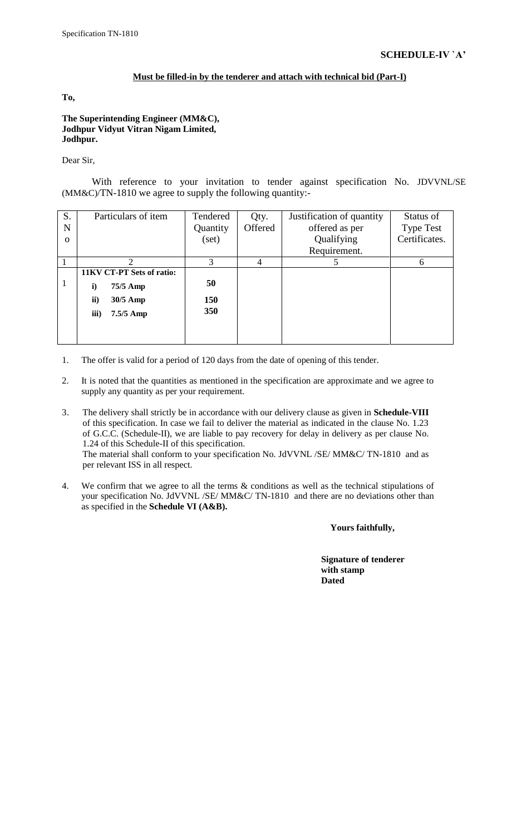#### **Must be filled-in by the tenderer and attach with technical bid (Part-I)**

**To,**

**The Superintending Engineer (MM&C), Jodhpur Vidyut Vitran Nigam Limited, Jodhpur.**

Dear Sir,

With reference to your invitation to tender against specification No. JDVVNL/SE (MM&C)/TN-1810 we agree to supply the following quantity:-

| S.       | Particulars of item       | Tendered | Qty.    | Justification of quantity | Status of        |
|----------|---------------------------|----------|---------|---------------------------|------------------|
| N        |                           | Quantity | Offered | offered as per            | <b>Type Test</b> |
| $\Omega$ |                           | (set)    |         | Qualifying                | Certificates.    |
|          |                           |          |         | Requirement.              |                  |
|          |                           | 3        | 4       |                           | 6                |
|          | 11KV CT-PT Sets of ratio: |          |         |                           |                  |
|          | $\mathbf{i}$<br>75/5 Amp  | 50       |         |                           |                  |
|          | ii)<br>30/5 Amp           | 150      |         |                           |                  |
|          | iii)<br>7.5/5 Amp         | 350      |         |                           |                  |
|          |                           |          |         |                           |                  |
|          |                           |          |         |                           |                  |

- 1. The offer is valid for a period of 120 days from the date of opening of this tender.
- 2. It is noted that the quantities as mentioned in the specification are approximate and we agree to supply any quantity as per your requirement.
- 3. The delivery shall strictly be in accordance with our delivery clause as given in **Schedule-VIII** of this specification. In case we fail to deliver the material as indicated in the clause No. 1.23 of G.C.C. (Schedule-II), we are liable to pay recovery for delay in delivery as per clause No. 1.24 of this Schedule-II of this specification. The material shall conform to your specification No. JdVVNL /SE/ MM&C/ TN-1810and as per relevant ISS in all respect.
- 4. We confirm that we agree to all the terms & conditions as well as the technical stipulations of your specification No. JdVVNL /SE/ MM&C/ TN-1810and there are no deviations other than as specified in the **Schedule VI (A&B).**

**Yours faithfully,**

 **Signature of tenderer with stamp Dated**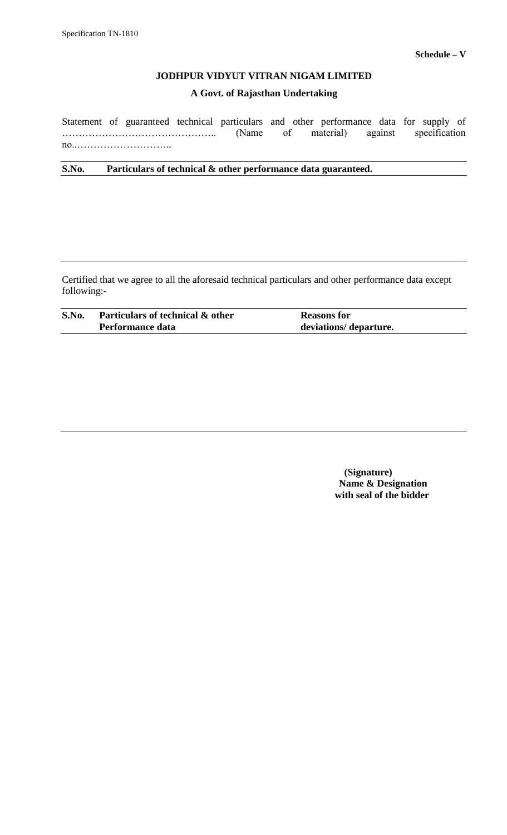# **A Govt. of Rajasthan Undertaking**

Statement of guaranteed technical particulars and other performance data for supply of ……………………………………….. (Name of material) against specification no..………………………..

**S.No. Particulars of technical & other performance data guaranteed.**

Certified that we agree to all the aforesaid technical particulars and other performance data except following:-

| S.No. | Particulars of technical & other | <b>Reasons for</b>     |
|-------|----------------------------------|------------------------|
|       | Performance data                 | deviations/ departure. |

 **(Signature) Name & Designation with seal of the bidder**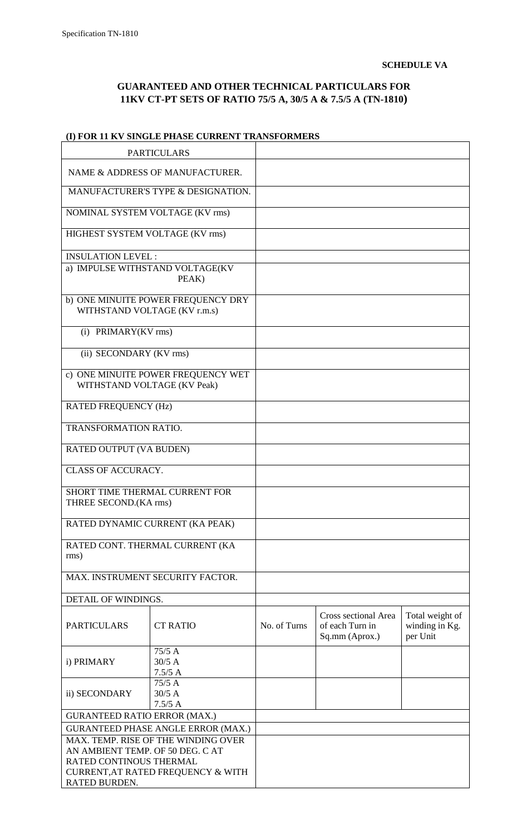$\overline{\mathsf{I}}$ 

# **GUARANTEED AND OTHER TECHNICAL PARTICULARS FOR 11KV CT-PT SETS OF RATIO 75/5 A, 30/5 A & 7.5/5 A (TN-1810)**

# **(I) FOR 11 KV SINGLE PHASE CURRENT TRANSFORMERS**

|                                                            | <b>PARTICULARS</b>                        |              |                                                           |                                               |
|------------------------------------------------------------|-------------------------------------------|--------------|-----------------------------------------------------------|-----------------------------------------------|
|                                                            | NAME & ADDRESS OF MANUFACTURER.           |              |                                                           |                                               |
|                                                            | MANUFACTURER'S TYPE & DESIGNATION.        |              |                                                           |                                               |
| NOMINAL SYSTEM VOLTAGE (KV rms)                            |                                           |              |                                                           |                                               |
| HIGHEST SYSTEM VOLTAGE (KV rms)                            |                                           |              |                                                           |                                               |
| <b>INSULATION LEVEL:</b>                                   |                                           |              |                                                           |                                               |
|                                                            | a) IMPULSE WITHSTAND VOLTAGE(KV<br>PEAK)  |              |                                                           |                                               |
| WITHSTAND VOLTAGE (KV r.m.s)                               | b) ONE MINUITE POWER FREQUENCY DRY        |              |                                                           |                                               |
| (i) PRIMARY(KV rms)                                        |                                           |              |                                                           |                                               |
| (ii) SECONDARY (KV rms)                                    |                                           |              |                                                           |                                               |
| WITHSTAND VOLTAGE (KV Peak)                                | c) ONE MINUITE POWER FREQUENCY WET        |              |                                                           |                                               |
| <b>RATED FREQUENCY (Hz)</b>                                |                                           |              |                                                           |                                               |
| <b>TRANSFORMATION RATIO.</b>                               |                                           |              |                                                           |                                               |
| RATED OUTPUT (VA BUDEN)                                    |                                           |              |                                                           |                                               |
| <b>CLASS OF ACCURACY.</b>                                  |                                           |              |                                                           |                                               |
| SHORT TIME THERMAL CURRENT FOR<br>THREE SECOND.(KA rms)    |                                           |              |                                                           |                                               |
|                                                            | RATED DYNAMIC CURRENT (KA PEAK)           |              |                                                           |                                               |
| rms)                                                       | RATED CONT. THERMAL CURRENT (KA           |              |                                                           |                                               |
|                                                            | MAX. INSTRUMENT SECURITY FACTOR.          |              |                                                           |                                               |
| DETAIL OF WINDINGS.                                        |                                           |              |                                                           |                                               |
| <b>CT RATIO</b><br><b>PARTICULARS</b>                      |                                           | No. of Turns | Cross sectional Area<br>of each Turn in<br>Sq.mm (Aprox.) | Total weight of<br>winding in Kg.<br>per Unit |
| 75/5A<br>$30/5$ A<br>i) PRIMARY<br>7.5/5A                  |                                           |              |                                                           |                                               |
| ii) SECONDARY                                              | 75/5A<br>$30/5$ A<br>7.5/5A               |              |                                                           |                                               |
| <b>GURANTEED RATIO ERROR (MAX.)</b>                        |                                           |              |                                                           |                                               |
|                                                            | <b>GURANTEED PHASE ANGLE ERROR (MAX.)</b> |              |                                                           |                                               |
|                                                            | MAX. TEMP. RISE OF THE WINDING OVER       |              |                                                           |                                               |
| AN AMBIENT TEMP. OF 50 DEG. CAT<br>RATED CONTINOUS THERMAL |                                           |              |                                                           |                                               |
|                                                            | CURRENT, AT RATED FREQUENCY & WITH        |              |                                                           |                                               |
| RATED BURDEN.                                              |                                           |              |                                                           |                                               |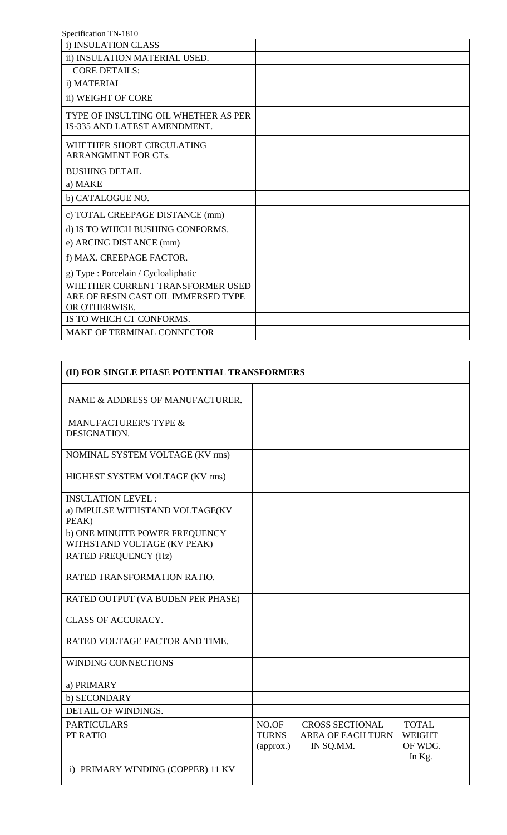| i) INSULATION CLASS                                                                      |  |
|------------------------------------------------------------------------------------------|--|
| ii) INSULATION MATERIAL USED.                                                            |  |
| <b>CORE DETAILS:</b>                                                                     |  |
| i) MATERIAL                                                                              |  |
| ii) WEIGHT OF CORE                                                                       |  |
| TYPE OF INSULTING OIL WHETHER AS PER<br>IS-335 AND LATEST AMENDMENT.                     |  |
| WHETHER SHORT CIRCULATING<br><b>ARRANGMENT FOR CTs.</b>                                  |  |
| <b>BUSHING DETAIL</b>                                                                    |  |
| a) MAKE                                                                                  |  |
| b) CATALOGUE NO.                                                                         |  |
| c) TOTAL CREEPAGE DISTANCE (mm)                                                          |  |
| d) IS TO WHICH BUSHING CONFORMS.                                                         |  |
| e) ARCING DISTANCE (mm)                                                                  |  |
| f) MAX. CREEPAGE FACTOR.                                                                 |  |
| g) Type : Porcelain / Cycloaliphatic                                                     |  |
| WHETHER CURRENT TRANSFORMER USED<br>ARE OF RESIN CAST OIL IMMERSED TYPE<br>OR OTHERWISE. |  |
| IS TO WHICH CT CONFORMS.                                                                 |  |
| <b>MAKE OF TERMINAL CONNECTOR</b>                                                        |  |

| (II) FOR SINGLE PHASE POTENTIAL TRANSFORMERS                  |                                                                                                                                                                      |
|---------------------------------------------------------------|----------------------------------------------------------------------------------------------------------------------------------------------------------------------|
| NAME & ADDRESS OF MANUFACTURER.                               |                                                                                                                                                                      |
| MANUFACTURER'S TYPE &<br>DESIGNATION.                         |                                                                                                                                                                      |
| NOMINAL SYSTEM VOLTAGE (KV rms)                               |                                                                                                                                                                      |
| HIGHEST SYSTEM VOLTAGE (KV rms)                               |                                                                                                                                                                      |
| <b>INSULATION LEVEL:</b>                                      |                                                                                                                                                                      |
| a) IMPULSE WITHSTAND VOLTAGE(KV<br>PEAK)                      |                                                                                                                                                                      |
| b) ONE MINUITE POWER FREQUENCY<br>WITHSTAND VOLTAGE (KV PEAK) |                                                                                                                                                                      |
| <b>RATED FREQUENCY (Hz)</b>                                   |                                                                                                                                                                      |
| RATED TRANSFORMATION RATIO.                                   |                                                                                                                                                                      |
| RATED OUTPUT (VA BUDEN PER PHASE)                             |                                                                                                                                                                      |
| <b>CLASS OF ACCURACY.</b>                                     |                                                                                                                                                                      |
| RATED VOLTAGE FACTOR AND TIME.                                |                                                                                                                                                                      |
| <b>WINDING CONNECTIONS</b>                                    |                                                                                                                                                                      |
| a) PRIMARY                                                    |                                                                                                                                                                      |
| b) SECONDARY                                                  |                                                                                                                                                                      |
| DETAIL OF WINDINGS.                                           |                                                                                                                                                                      |
| <b>PARTICULARS</b><br>PT RATIO                                | NO.OF<br><b>CROSS SECTIONAL</b><br><b>TOTAL</b><br><b>TURNS</b><br><b>AREA OF EACH TURN</b><br><b>WEIGHT</b><br>OF WDG.<br>IN SQ.MM.<br>$\langle$ approx.)<br>In Kg. |
| i) PRIMARY WINDING (COPPER) 11 KV                             |                                                                                                                                                                      |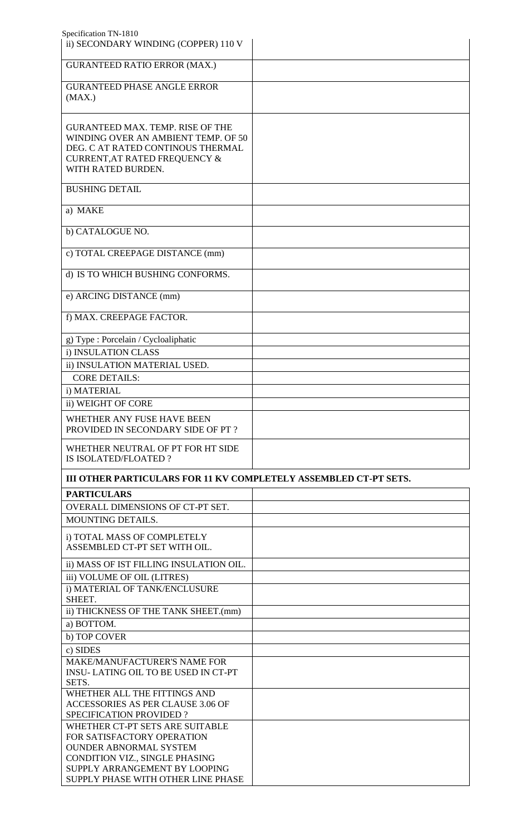| ii) SECONDARY WINDING (COPPER) 110 V                                    |  |
|-------------------------------------------------------------------------|--|
|                                                                         |  |
| <b>GURANTEED RATIO ERROR (MAX.)</b>                                     |  |
|                                                                         |  |
| <b>GURANTEED PHASE ANGLE ERROR</b>                                      |  |
| (MAX.)                                                                  |  |
|                                                                         |  |
| <b>GURANTEED MAX. TEMP. RISE OF THE</b>                                 |  |
| WINDING OVER AN AMBIENT TEMP. OF 50                                     |  |
| DEG. C AT RATED CONTINOUS THERMAL                                       |  |
| <b>CURRENT, AT RATED FREQUENCY &amp;</b>                                |  |
| WITH RATED BURDEN.                                                      |  |
|                                                                         |  |
| <b>BUSHING DETAIL</b>                                                   |  |
| a) MAKE                                                                 |  |
|                                                                         |  |
| b) CATALOGUE NO.                                                        |  |
|                                                                         |  |
| c) TOTAL CREEPAGE DISTANCE (mm)                                         |  |
|                                                                         |  |
| d) IS TO WHICH BUSHING CONFORMS.                                        |  |
|                                                                         |  |
| e) ARCING DISTANCE (mm)                                                 |  |
|                                                                         |  |
| f) MAX. CREEPAGE FACTOR.                                                |  |
|                                                                         |  |
| g) Type : Porcelain / Cycloaliphatic                                    |  |
| i) INSULATION CLASS                                                     |  |
| ii) INSULATION MATERIAL USED.                                           |  |
| <b>CORE DETAILS:</b>                                                    |  |
| i) MATERIAL                                                             |  |
| ii) WEIGHT OF CORE                                                      |  |
|                                                                         |  |
| WHETHER ANY FUSE HAVE BEEN                                              |  |
| PROVIDED IN SECONDARY SIDE OF PT?                                       |  |
| WHETHER NEUTRAL OF PT FOR HT SIDE                                       |  |
| IS ISOLATED/FLOATED?                                                    |  |
|                                                                         |  |
| <b>III OTHER PARTICULARS FOR 11 KV COMPLETELY ASSEMBLED CT-PT SETS.</b> |  |
|                                                                         |  |
|                                                                         |  |
| <b>PARTICULARS</b>                                                      |  |
| OVERALL DIMENSIONS OF CT-PT SET.                                        |  |
| MOUNTING DETAILS.                                                       |  |
| i) TOTAL MASS OF COMPLETELY                                             |  |
| ASSEMBLED CT-PT SET WITH OIL.                                           |  |
|                                                                         |  |
| ii) MASS OF IST FILLING INSULATION OIL.                                 |  |
| iii) VOLUME OF OIL (LITRES)                                             |  |
| i) MATERIAL OF TANK/ENCLUSURE                                           |  |
| SHEET.                                                                  |  |
| ii) THICKNESS OF THE TANK SHEET.(mm)                                    |  |
| a) BOTTOM.                                                              |  |
| b) TOP COVER                                                            |  |
| c) SIDES                                                                |  |
| <b>MAKE/MANUFACTURER'S NAME FOR</b>                                     |  |
| <b>INSU-LATING OIL TO BE USED IN CT-PT</b>                              |  |
| SETS.                                                                   |  |
| WHETHER ALL THE FITTINGS AND                                            |  |
| ACCESSORIES AS PER CLAUSE 3.06 OF                                       |  |
| <b>SPECIFICATION PROVIDED?</b>                                          |  |
| WHETHER CT-PT SETS ARE SUITABLE                                         |  |
| FOR SATISFACTORY OPERATION<br><b>OUNDER ABNORMAL SYSTEM</b>             |  |
| CONDITION VIZ., SINGLE PHASING                                          |  |
| SUPPLY ARRANGEMENT BY LOOPING                                           |  |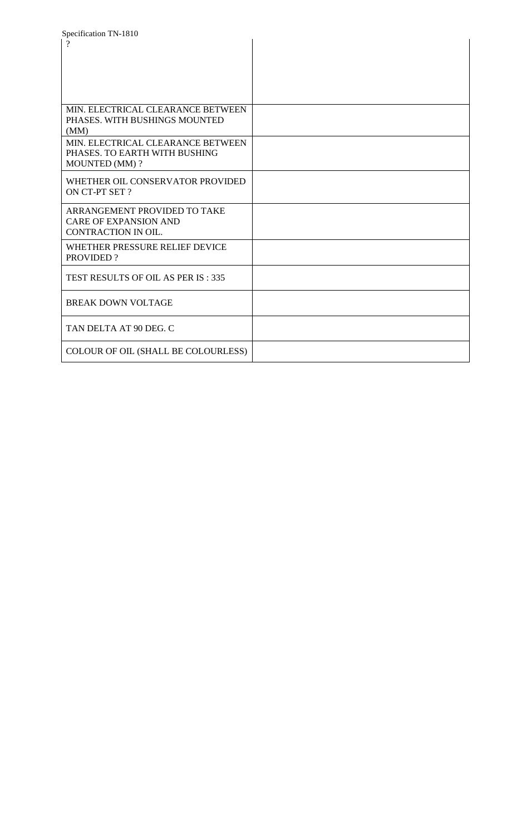| Specification TN-1810               |  |
|-------------------------------------|--|
| $\gamma$                            |  |
|                                     |  |
|                                     |  |
|                                     |  |
|                                     |  |
|                                     |  |
| MIN. ELECTRICAL CLEARANCE BETWEEN   |  |
| PHASES. WITH BUSHINGS MOUNTED       |  |
|                                     |  |
| (MM)                                |  |
| MIN. ELECTRICAL CLEARANCE BETWEEN   |  |
| PHASES. TO EARTH WITH BUSHING       |  |
| <b>MOUNTED (MM)?</b>                |  |
| WHETHER OIL CONSERVATOR PROVIDED    |  |
| ON CT-PT SET ?                      |  |
|                                     |  |
| ARRANGEMENT PROVIDED TO TAKE        |  |
| <b>CARE OF EXPANSION AND</b>        |  |
| CONTRACTION IN OIL.                 |  |
|                                     |  |
| WHETHER PRESSURE RELIEF DEVICE      |  |
| <b>PROVIDED?</b>                    |  |
|                                     |  |
| TEST RESULTS OF OIL AS PER IS: 335  |  |
|                                     |  |
| <b>BREAK DOWN VOLTAGE</b>           |  |
|                                     |  |
|                                     |  |
| TAN DELTA AT 90 DEG. C              |  |
|                                     |  |
| COLOUR OF OIL (SHALL BE COLOURLESS) |  |
|                                     |  |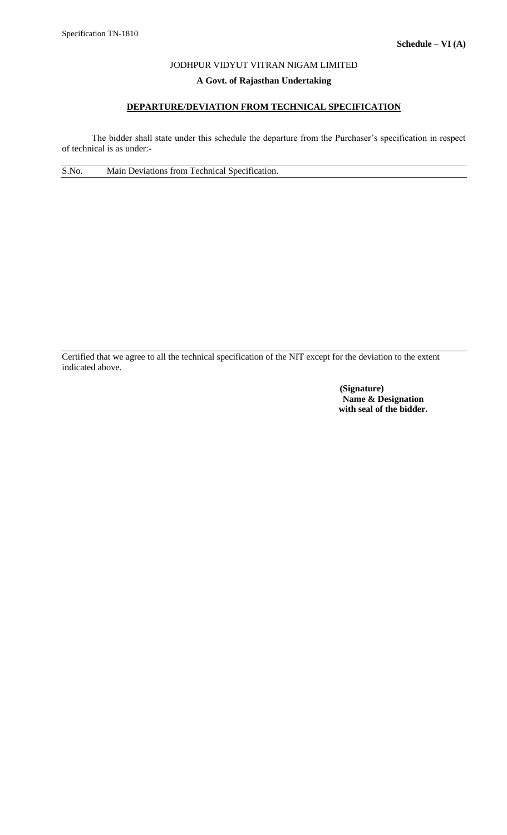# **A Govt. of Rajasthan Undertaking**

# **DEPARTURE/DEVIATION FROM TECHNICAL SPECIFICATION**

The bidder shall state under this schedule the departure from the Purchaser's specification in respect of technical is as under:-

S.No. Main Deviations from Technical Specification.

Certified that we agree to all the technical specification of the NIT except for the deviation to the extent indicated above.

> **(Signature) Name & Designation with seal of the bidder.**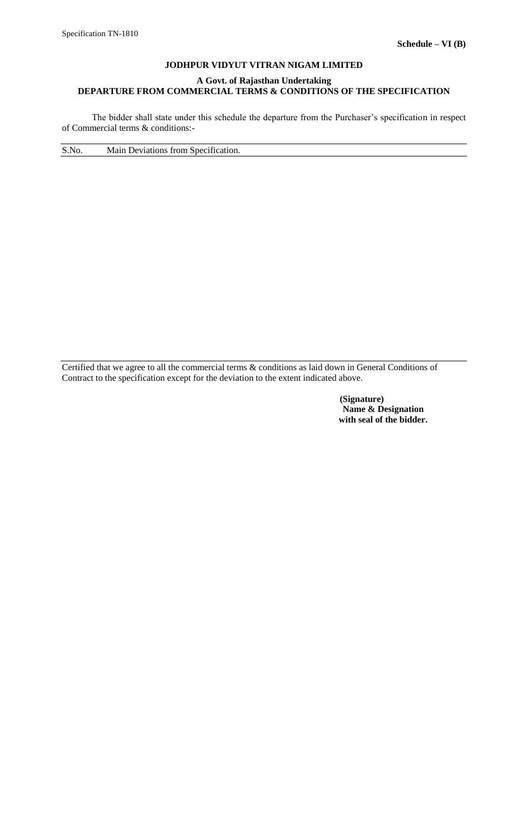## **A Govt. of Rajasthan Undertaking DEPARTURE FROM COMMERCIAL TERMS & CONDITIONS OF THE SPECIFICATION**

The bidder shall state under this schedule the departure from the Purchaser's specification in respect of Commercial terms & conditions:-

S.No. Main Deviations from Specification.

Certified that we agree to all the commercial terms & conditions as laid down in General Conditions of Contract to the specification except for the deviation to the extent indicated above.

> **(Signature) Name & Designation with seal of the bidder.**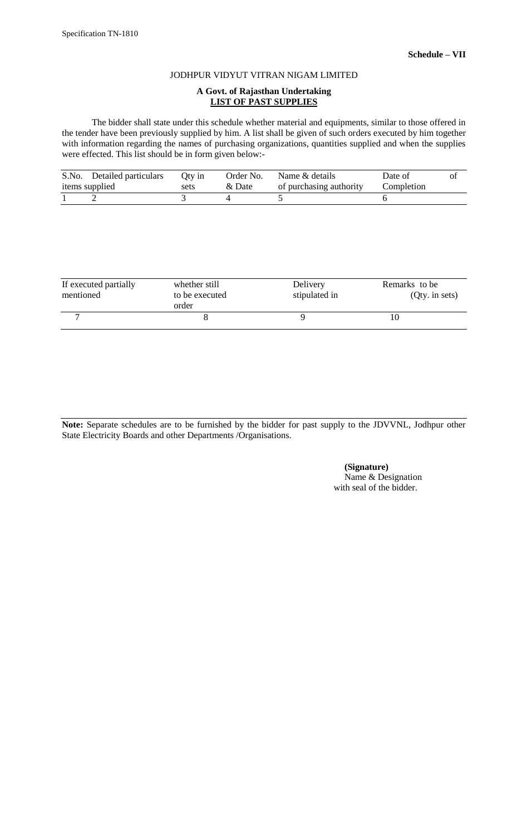#### **A Govt. of Rajasthan Undertaking LIST OF PAST SUPPLIES**

The bidder shall state under this schedule whether material and equipments, similar to those offered in the tender have been previously supplied by him. A list shall be given of such orders executed by him together with information regarding the names of purchasing organizations, quantities supplied and when the supplies were effected. This list should be in form given below:-

| S.No. Detailed particulars | Oty in | Order No. | Name & details          | Date of    | Ol |
|----------------------------|--------|-----------|-------------------------|------------|----|
| items supplied             | sets   | & Date    | of purchasing authority | Completion |    |
|                            |        |           |                         |            |    |

| If executed partially<br>mentioned | whether still<br>to be executed<br>order | Delivery<br>stipulated in | Remarks to be<br>$Qty.$ in sets) |
|------------------------------------|------------------------------------------|---------------------------|----------------------------------|
|                                    |                                          |                           |                                  |

**Note:** Separate schedules are to be furnished by the bidder for past supply to the JDVVNL, Jodhpur other State Electricity Boards and other Departments /Organisations.

> **(Signature)** Name & Designation with seal of the bidder.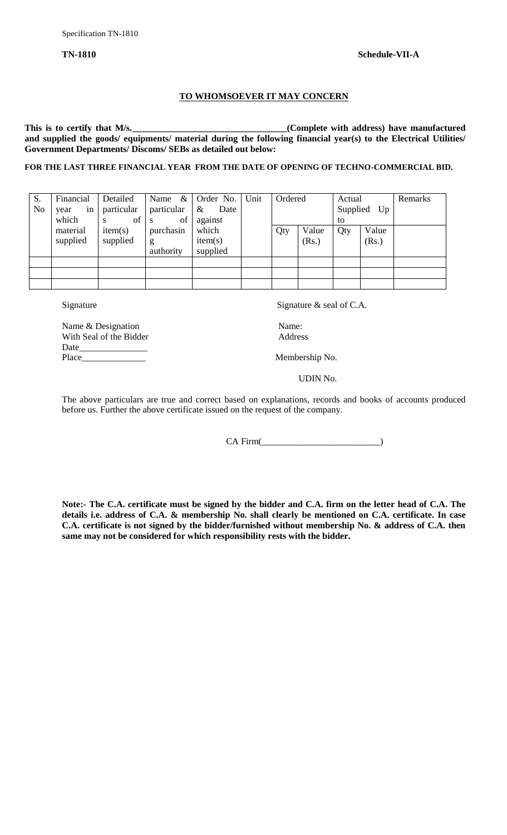# **TO WHOMSOEVER IT MAY CONCERN**

This is to certify that M/s.<br><u>Complete with address</u>) have manufactured **and supplied the goods/ equipments/ material during the following financial year(s) to the Electrical Utilities/ Government Departments/ Discoms/ SEBs as detailed out below:**

#### **FOR THE LAST THREE FINANCIAL YEAR FROM THE DATE OF OPENING OF TECHNO-COMMERCIAL BID.**

| S.<br>N <sub>0</sub> | Financial<br>in<br>year<br>which | Detailed<br>particular<br>of<br>S | $\&$<br>Name<br>particular<br>of<br>-S | Order No.<br>$\&$<br>Date<br>against | Unit | Ordered |                | Actual<br>to | Supplied Up    | Remarks |
|----------------------|----------------------------------|-----------------------------------|----------------------------------------|--------------------------------------|------|---------|----------------|--------------|----------------|---------|
|                      | material<br>supplied             | item(s)<br>supplied               | purchasin<br>g<br>authority            | which<br>item(s)<br>supplied         |      | Qty     | Value<br>(Rs.) | Qty          | Value<br>(Rs.) |         |
|                      |                                  |                                   |                                        |                                      |      |         |                |              |                |         |

Signature  $\alpha$  seal of C.A.

Name & Designation Name: With Seal of the Bidder Address Date\_\_\_\_\_\_\_\_\_\_\_\_\_\_\_

Membership No.

UDIN No.

The above particulars are true and correct based on explanations, records and books of accounts produced before us. Further the above certificate issued on the request of the company.

CA Firm(

**Note:- The C.A. certificate must be signed by the bidder and C.A. firm on the letter head of C.A. The details i.e. address of C.A. & membership No. shall clearly be mentioned on C.A. certificate. In case C.A. certificate is not signed by the bidder/furnished without membership No. & address of C.A. then same may not be considered for which responsibility rests with the bidder.**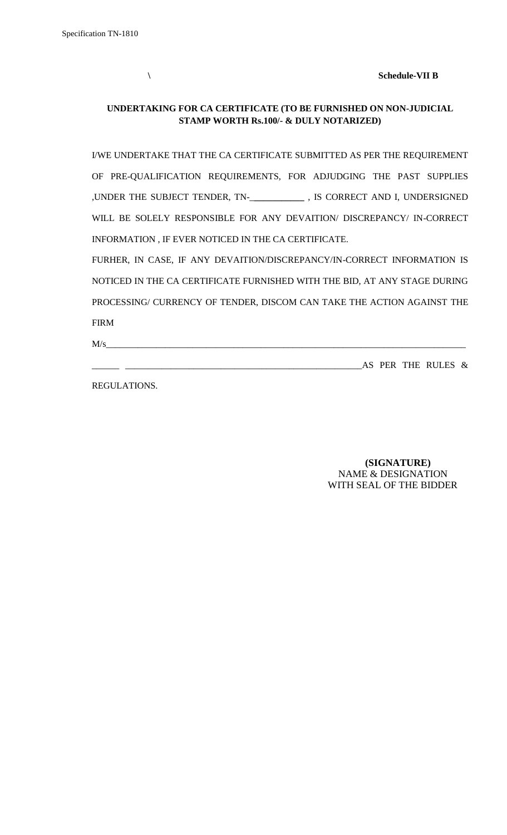**\ Schedule-VII B**

# **UNDERTAKING FOR CA CERTIFICATE (TO BE FURNISHED ON NON-JUDICIAL STAMP WORTH Rs.100/- & DULY NOTARIZED)**

I/WE UNDERTAKE THAT THE CA CERTIFICATE SUBMITTED AS PER THE REQUIREMENT OF PRE-QUALIFICATION REQUIREMENTS, FOR ADJUDGING THE PAST SUPPLIES ,UNDER THE SUBJECT TENDER, TN-\_**\_\_\_\_\_\_\_\_\_\_\_** , IS CORRECT AND I, UNDERSIGNED WILL BE SOLELY RESPONSIBLE FOR ANY DEVAITION/ DISCREPANCY/ IN-CORRECT INFORMATION , IF EVER NOTICED IN THE CA CERTIFICATE. FURHER, IN CASE, IF ANY DEVAITION/DISCREPANCY/IN-CORRECT INFORMATION IS NOTICED IN THE CA CERTIFICATE FURNISHED WITH THE BID, AT ANY STAGE DURING

PROCESSING/ CURRENCY OF TENDER, DISCOM CAN TAKE THE ACTION AGAINST THE FIRM

 $M/s$   $\overline{\phantom{a}}$ 

\_\_\_\_\_\_ \_\_\_\_\_\_\_\_\_\_\_\_\_\_\_\_\_\_\_\_\_\_\_\_\_\_\_\_\_\_\_\_\_\_\_\_\_\_\_\_\_\_\_\_\_\_\_\_\_\_\_\_AS PER THE RULES &

REGULATIONS.

# **(SIGNATURE)** NAME & DESIGNATION WITH SEAL OF THE BIDDER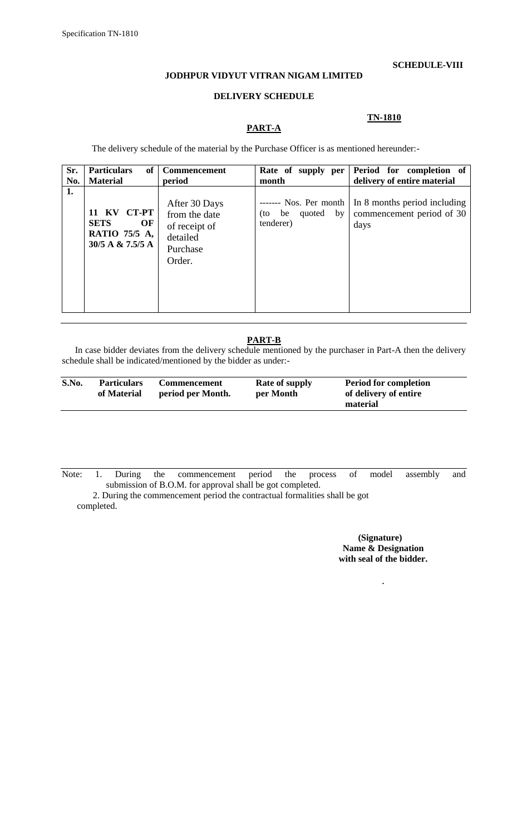#### **SCHEDULE-VIII**

#### **JODHPUR VIDYUT VITRAN NIGAM LIMITED**

#### **DELIVERY SCHEDULE**

## **TN-1810**

# **PART-A**

The delivery schedule of the material by the Purchase Officer is as mentioned hereunder:-

| Sr.<br>No. | <b>Particulars</b><br>of<br><b>Material</b>                              | <b>Commencement</b><br>period                                                     | Rate of supply per<br>month                                  | Period for completion of<br>delivery of entire material           |
|------------|--------------------------------------------------------------------------|-----------------------------------------------------------------------------------|--------------------------------------------------------------|-------------------------------------------------------------------|
| 1.         | CT-PT<br>11 KV<br><b>SETS</b><br>OF<br>RATIO 75/5 A,<br>30/5 A & 7.5/5 A | After 30 Days<br>from the date<br>of receipt of<br>detailed<br>Purchase<br>Order. | ------- Nos. Per month<br>quoted by<br>$(to$ be<br>tenderer) | In 8 months period including<br>commencement period of 30<br>days |

# **PART-B**

In case bidder deviates from the delivery schedule mentioned by the purchaser in Part-A then the delivery schedule shall be indicated/mentioned by the bidder as under:-

| S.No. | <b>Particulars</b><br>of Material | <b>Commencement</b><br>period per Month. | <b>Rate of supply</b><br>per Month | <b>Period for completion</b><br>of delivery of entire |  |
|-------|-----------------------------------|------------------------------------------|------------------------------------|-------------------------------------------------------|--|
|       |                                   |                                          |                                    | material                                              |  |

Note: 1. During the commencement period the process of model assembly and submission of B.O.M. for approval shall be got completed.

 2. During the commencement period the contractual formalities shall be got completed.

> **(Signature) Name & Designation with seal of the bidder.**

> > .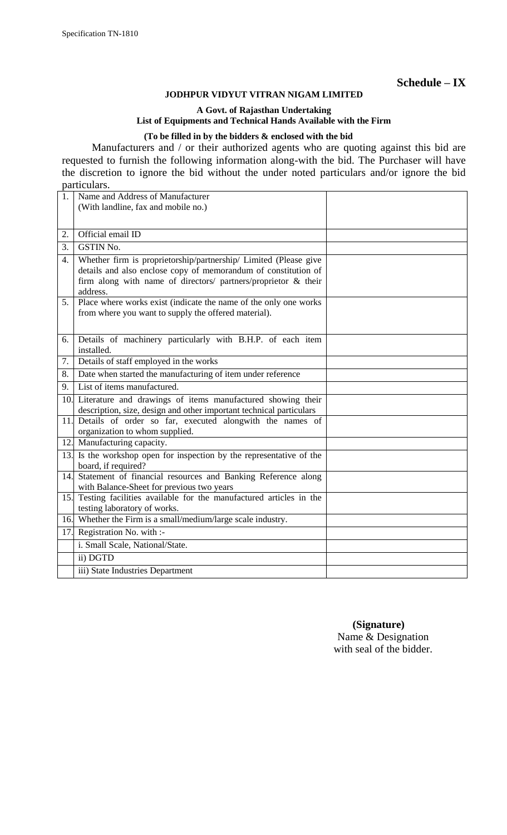**Schedule – IX**

#### **JODHPUR VIDYUT VITRAN NIGAM LIMITED**

#### **A Govt. of Rajasthan Undertaking List of Equipments and Technical Hands Available with the Firm**

## **(To be filled in by the bidders & enclosed with the bid**

Manufacturers and / or their authorized agents who are quoting against this bid are requested to furnish the following information along-with the bid. The Purchaser will have the discretion to ignore the bid without the under noted particulars and/or ignore the bid particulars.

| 1.  | Name and Address of Manufacturer                                                                                                                                                                                 |  |
|-----|------------------------------------------------------------------------------------------------------------------------------------------------------------------------------------------------------------------|--|
|     | (With landline, fax and mobile no.)                                                                                                                                                                              |  |
|     |                                                                                                                                                                                                                  |  |
| 2.  | Official email ID                                                                                                                                                                                                |  |
| 3.  | <b>GSTIN No.</b>                                                                                                                                                                                                 |  |
| 4.  | Whether firm is proprietorship/partnership/ Limited (Please give<br>details and also enclose copy of memorandum of constitution of<br>firm along with name of directors/ partners/proprietor & their<br>address. |  |
| 5.  | Place where works exist (indicate the name of the only one works<br>from where you want to supply the offered material).                                                                                         |  |
| 6.  | Details of machinery particularly with B.H.P. of each item<br>installed.                                                                                                                                         |  |
| 7.  | Details of staff employed in the works                                                                                                                                                                           |  |
| 8.  | Date when started the manufacturing of item under reference                                                                                                                                                      |  |
| 9.  | List of items manufactured.                                                                                                                                                                                      |  |
|     | 10. Literature and drawings of items manufactured showing their<br>description, size, design and other important technical particulars                                                                           |  |
|     | 11. Details of order so far, executed alongwith the names of<br>organization to whom supplied.                                                                                                                   |  |
|     | 12. Manufacturing capacity.                                                                                                                                                                                      |  |
|     | 13. Is the workshop open for inspection by the representative of the<br>board, if required?                                                                                                                      |  |
|     | 14. Statement of financial resources and Banking Reference along<br>with Balance-Sheet for previous two years                                                                                                    |  |
| 15. | Testing facilities available for the manufactured articles in the<br>testing laboratory of works.                                                                                                                |  |
|     | 16. Whether the Firm is a small/medium/large scale industry.                                                                                                                                                     |  |
| 17. | Registration No. with :-                                                                                                                                                                                         |  |
|     | i. Small Scale, National/State.                                                                                                                                                                                  |  |
|     | ii) DGTD                                                                                                                                                                                                         |  |
|     | iii) State Industries Department                                                                                                                                                                                 |  |

 **(Signature)** Name & Designation with seal of the bidder.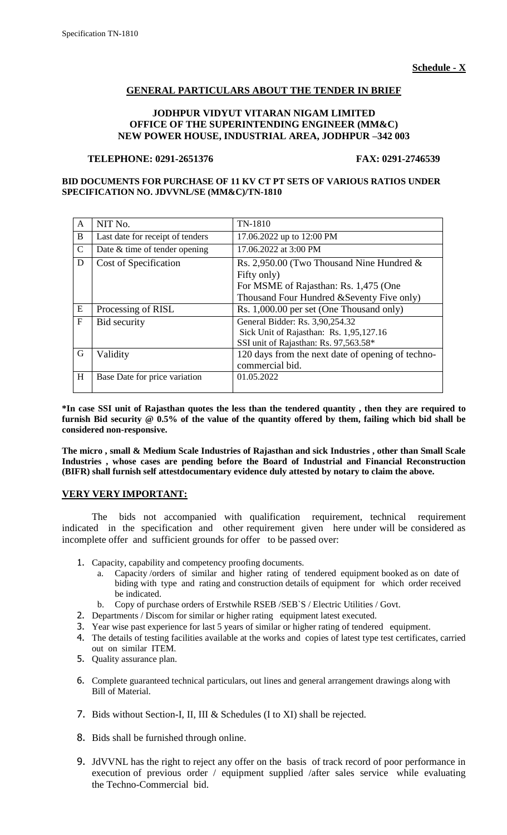# **GENERAL PARTICULARS ABOUT THE TENDER IN BRIEF**

## **JODHPUR VIDYUT VITARAN NIGAM LIMITED OFFICE OF THE SUPERINTENDING ENGINEER (MM&C) NEW POWER HOUSE, INDUSTRIAL AREA, JODHPUR –342 003**

#### **TELEPHONE: 0291-2651376 FAX: 0291-2746539**

#### **BID DOCUMENTS FOR PURCHASE OF 11 KV CT PT SETS OF VARIOUS RATIOS UNDER SPECIFICATION NO. JDVVNL/SE (MM&C)/TN-1810**

| $\mathbf{A}$  | NIT No.                          | TN-1810                                                                                                             |
|---------------|----------------------------------|---------------------------------------------------------------------------------------------------------------------|
| B             | Last date for receipt of tenders | 17.06.2022 up to 12:00 PM                                                                                           |
| $\mathcal{C}$ | Date & time of tender opening    | 17.06.2022 at 3:00 PM                                                                                               |
| D             | Cost of Specification            | Rs. 2,950.00 (Two Thousand Nine Hundred $\&$<br>Fifty only)                                                         |
|               |                                  | For MSME of Rajasthan: Rs. 1,475 (One                                                                               |
|               |                                  | Thousand Four Hundred & Seventy Five only)                                                                          |
| ${\bf E}$     | Processing of RISL               | Rs. 1,000.00 per set (One Thousand only)                                                                            |
| $\mathbf{F}$  | Bid security                     | General Bidder: Rs. 3,90,254.32<br>Sick Unit of Rajasthan: Rs. 1,95,127.16<br>SSI unit of Rajasthan: Rs. 97,563.58* |
| G             | Validity                         | 120 days from the next date of opening of techno-<br>commercial bid.                                                |
|               |                                  |                                                                                                                     |

**\*In case SSI unit of Rajasthan quotes the less than the tendered quantity , then they are required to furnish Bid security @ 0.5% of the value of the quantity offered by them, failing which bid shall be considered non-responsive.**

**The micro , small & Medium Scale Industries of Rajasthan and sick Industries , other than Small Scale Industries , whose cases are pending before the Board of Industrial and Financial Reconstruction (BIFR) shall furnish self attestdocumentary evidence duly attested by notary to claim the above.**

# **VERY VERY IMPORTANT:**

The bids not accompanied with qualification requirement, technical requirement indicated in the specification and other requirement given here under will be considered as incomplete offer and sufficient grounds for offer to be passed over:

- 1. Capacity, capability and competency proofing documents.
	- Capacity /orders of similar and higher rating of tendered equipment booked as on date of biding with type and rating and construction details of equipment for which order received be indicated.
	- b. Copy of purchase orders of Erstwhile RSEB /SEB`S / Electric Utilities / Govt.
- 2. Departments / Discom for similar or higher rating equipment latest executed.
- 3. Year wise past experience for last 5 years of similar or higher rating of tendered equipment.
- 4. The details of testing facilities available at the works and copies of latest type test certificates, carried out on similar ITEM.
- 5. Quality assurance plan.
- 6. Complete guaranteed technical particulars, out lines and general arrangement drawings along with Bill of Material.
- 7. Bids without Section-I, II, III & Schedules (I to XI) shall be rejected.
- 8. Bids shall be furnished through online.
- 9. JdVVNL has the right to reject any offer on the basis of track record of poor performance in execution of previous order / equipment supplied /after sales service while evaluating the Techno-Commercial bid.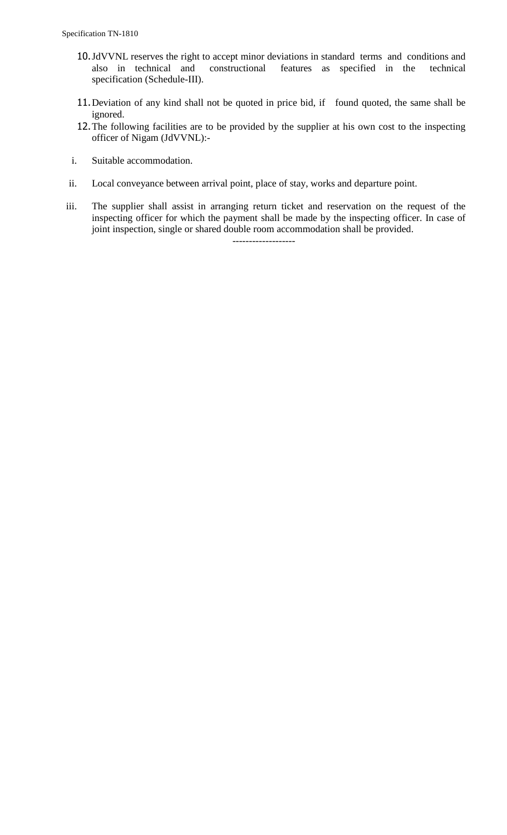- 10.JdVVNL reserves the right to accept minor deviations in standard terms and conditions and also in technical and constructional features as specified in the technical specification (Schedule-III).
- 11.Deviation of any kind shall not be quoted in price bid, if found quoted, the same shall be ignored.
- 12.The following facilities are to be provided by the supplier at his own cost to the inspecting officer of Nigam (JdVVNL):-
- i. Suitable accommodation.
- ii. Local conveyance between arrival point, place of stay, works and departure point.
- iii. The supplier shall assist in arranging return ticket and reservation on the request of the inspecting officer for which the payment shall be made by the inspecting officer. In case of joint inspection, single or shared double room accommodation shall be provided.

-------------------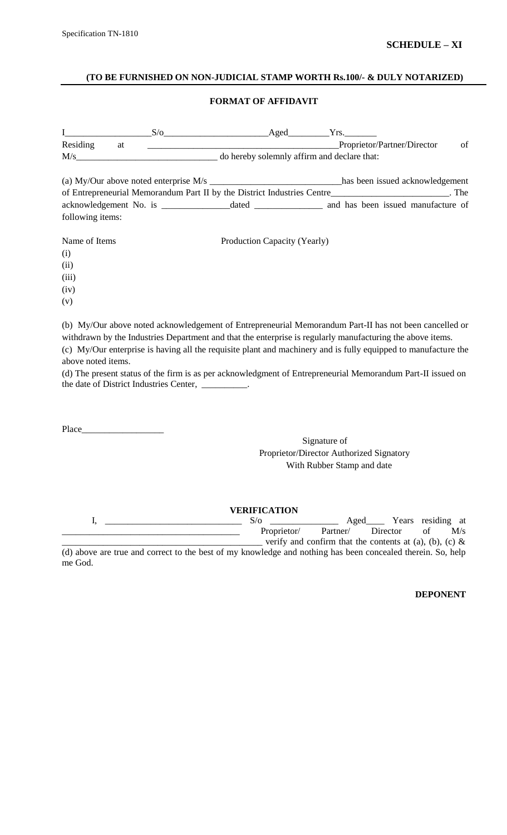#### **(TO BE FURNISHED ON NON-JUDICIAL STAMP WORTH Rs.100/- & DULY NOTARIZED)**

## **FORMAT OF AFFIDAVIT**

| $\mathbf{I}$       |    | $S/O$ Aged $Yrs$ .                                |                              |                                                                                                                                                                                                                                                                                                                                        |
|--------------------|----|---------------------------------------------------|------------------------------|----------------------------------------------------------------------------------------------------------------------------------------------------------------------------------------------------------------------------------------------------------------------------------------------------------------------------------------|
| Residing           | at |                                                   |                              | Proprietor/Partner/Director<br>of                                                                                                                                                                                                                                                                                                      |
|                    |    | $M/s$ do hereby solemnly affirm and declare that: |                              |                                                                                                                                                                                                                                                                                                                                        |
|                    |    |                                                   |                              | (a) My/Our above noted enterprise M/s ________________________________has been issued acknowledgement                                                                                                                                                                                                                                  |
|                    |    |                                                   |                              | of Entrepreneurial Memorandum Part II by the District Industries Centre________________________. The                                                                                                                                                                                                                                   |
|                    |    |                                                   |                              |                                                                                                                                                                                                                                                                                                                                        |
| following items:   |    |                                                   |                              |                                                                                                                                                                                                                                                                                                                                        |
| Name of Items      |    |                                                   | Production Capacity (Yearly) |                                                                                                                                                                                                                                                                                                                                        |
| (i)                |    |                                                   |                              |                                                                                                                                                                                                                                                                                                                                        |
| (ii)               |    |                                                   |                              |                                                                                                                                                                                                                                                                                                                                        |
| (iii)              |    |                                                   |                              |                                                                                                                                                                                                                                                                                                                                        |
| (iv)               |    |                                                   |                              |                                                                                                                                                                                                                                                                                                                                        |
| (v)                |    |                                                   |                              |                                                                                                                                                                                                                                                                                                                                        |
| above noted items. |    |                                                   |                              | (b) My/Our above noted acknowledgement of Entrepreneurial Memorandum Part-II has not been cancelled or<br>withdrawn by the Industries Department and that the enterprise is regularly manufacturing the above items.<br>(c) My/Our enterprise is having all the requisite plant and machinery and is fully equipped to manufacture the |

(d) The present status of the firm is as per acknowledgment of Entrepreneurial Memorandum Part-II issued on the date of District Industries Center, \_\_\_\_\_\_\_\_\_\_.

Place\_\_\_\_\_

Signature of Proprietor/Director Authorized Signatory With Rubber Stamp and date

**VERIFICATION** I, \_\_\_\_\_\_\_\_\_\_\_\_\_\_\_\_\_\_\_\_\_\_\_\_\_\_\_\_\_\_ S/o \_\_\_\_\_\_\_\_\_\_\_\_\_\_\_ Aged\_\_\_\_ Years residing at Proprietor/ Partner/ Director of M/s - verify and confirm that the contents at (a), (b), (c)  $\&$ (d) above are true and correct to the best of my knowledge and nothing has been concealed therein. So, help me God.

**DEPONENT**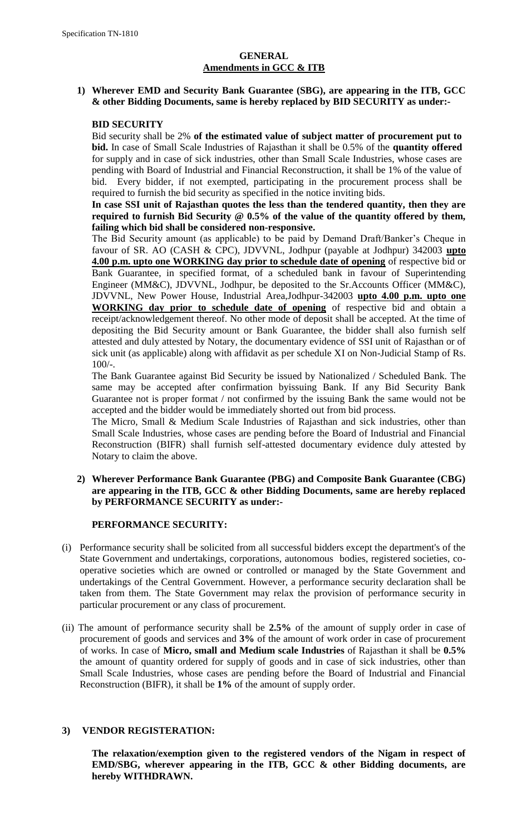# **GENERAL Amendments in GCC & ITB**

# **1) Wherever EMD and Security Bank Guarantee (SBG), are appearing in the ITB, GCC & other Bidding Documents, same is hereby replaced by BID SECURITY as under:-**

## **BID SECURITY**

Bid security shall be 2% **of the estimated value of subject matter of procurement put to bid.** In case of Small Scale Industries of Rajasthan it shall be 0.5% of the **quantity offered** for supply and in case of sick industries, other than Small Scale Industries, whose cases are pending with Board of Industrial and Financial Reconstruction, it shall be 1% of the value of bid. Every bidder, if not exempted, participating in the procurement process shall be required to furnish the bid security as specified in the notice inviting bids.

# **In case SSI unit of Rajasthan quotes the less than the tendered quantity, then they are required to furnish Bid Security @ 0.5% of the value of the quantity offered by them, failing which bid shall be considered non-responsive.**

The Bid Security amount (as applicable) to be paid by Demand Draft/Banker"s Cheque in favour of SR. AO (CASH & CPC), JDVVNL, Jodhpur (payable at Jodhpur) 342003 **upto 4.00 p.m. upto one WORKING day prior to schedule date of opening** of respective bid or Bank Guarantee, in specified format, of a scheduled bank in favour of Superintending Engineer (MM&C), JDVVNL, Jodhpur, be deposited to the Sr.Accounts Officer (MM&C), JDVVNL, New Power House, Industrial Area,Jodhpur-342003 **upto 4.00 p.m. upto one WORKING day prior to schedule date of opening** of respective bid and obtain a receipt/acknowledgement thereof. No other mode of deposit shall be accepted. At the time of depositing the Bid Security amount or Bank Guarantee, the bidder shall also furnish self attested and duly attested by Notary, the documentary evidence of SSI unit of Rajasthan or of sick unit (as applicable) along with affidavit as per schedule XI on Non-Judicial Stamp of Rs. 100/-.

The Bank Guarantee against Bid Security be issued by Nationalized / Scheduled Bank. The same may be accepted after confirmation byissuing Bank. If any Bid Security Bank Guarantee not is proper format / not confirmed by the issuing Bank the same would not be accepted and the bidder would be immediately shorted out from bid process.

The Micro, Small & Medium Scale Industries of Rajasthan and sick industries, other than Small Scale Industries, whose cases are pending before the Board of Industrial and Financial Reconstruction (BIFR) shall furnish self-attested documentary evidence duly attested by Notary to claim the above.

# **2) Wherever Performance Bank Guarantee (PBG) and Composite Bank Guarantee (CBG) are appearing in the ITB, GCC & other Bidding Documents, same are hereby replaced by PERFORMANCE SECURITY as under:-**

# **PERFORMANCE SECURITY:**

- (i) Performance security shall be solicited from all successful bidders except the department's of the State Government and undertakings, corporations, autonomous bodies, registered societies, cooperative societies which are owned or controlled or managed by the State Government and undertakings of the Central Government. However, a performance security declaration shall be taken from them. The State Government may relax the provision of performance security in particular procurement or any class of procurement.
- (ii) The amount of performance security shall be **2.5%** of the amount of supply order in case of procurement of goods and services and **3%** of the amount of work order in case of procurement of works. In case of **Micro, small and Medium scale Industries** of Rajasthan it shall be **0.5%**  the amount of quantity ordered for supply of goods and in case of sick industries, other than Small Scale Industries, whose cases are pending before the Board of Industrial and Financial Reconstruction (BIFR), it shall be **1%** of the amount of supply order.

# **3) VENDOR REGISTERATION:**

**The relaxation/exemption given to the registered vendors of the Nigam in respect of EMD/SBG, wherever appearing in the ITB, GCC & other Bidding documents, are hereby WITHDRAWN.**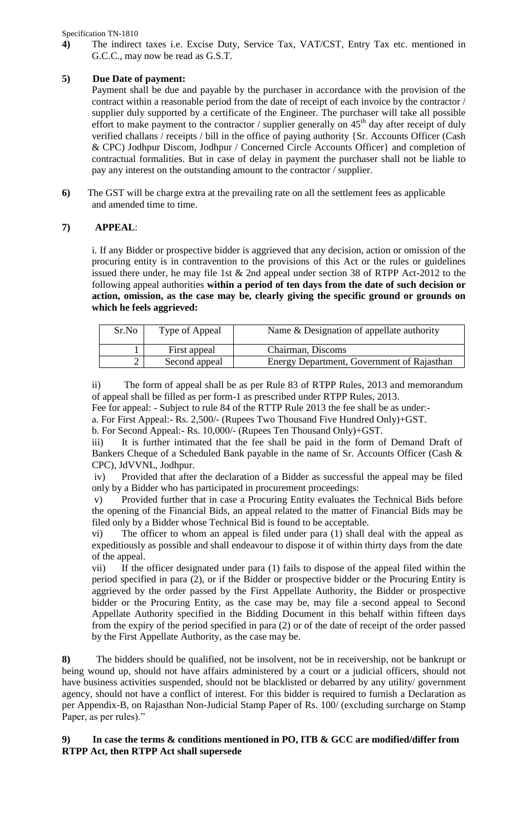Specification TN-1810

**4)** The indirect taxes i.e. Excise Duty, Service Tax, VAT/CST, Entry Tax etc. mentioned in G.C.C., may now be read as G.S.T.

# **5) Due Date of payment:**

Payment shall be due and payable by the purchaser in accordance with the provision of the contract within a reasonable period from the date of receipt of each invoice by the contractor / supplier duly supported by a certificate of the Engineer. The purchaser will take all possible effort to make payment to the contractor / supplier generally on  $45<sup>th</sup>$  day after receipt of duly verified challans / receipts / bill in the office of paying authority {Sr. Accounts Officer (Cash & CPC) Jodhpur Discom, Jodhpur / Concerned Circle Accounts Officer} and completion of contractual formalities. But in case of delay in payment the purchaser shall not be liable to pay any interest on the outstanding amount to the contractor / supplier.

**6)** The GST will be charge extra at the prevailing rate on all the settlement fees as applicable and amended time to time.

# **7) APPEAL**:

i. If any Bidder or prospective bidder is aggrieved that any decision, action or omission of the procuring entity is in contravention to the provisions of this Act or the rules or guidelines issued there under, he may file 1st & 2nd appeal under section 38 of RTPP Act-2012 to the following appeal authorities **within a period of ten days from the date of such decision or action, omission, as the case may be, clearly giving the specific ground or grounds on which he feels aggrieved:** 

| Sr.No | Type of Appeal | Name & Designation of appellate authority  |
|-------|----------------|--------------------------------------------|
|       | First appeal   | Chairman, Discoms                          |
|       | Second appeal  | Energy Department, Government of Rajasthan |

ii) The form of appeal shall be as per Rule 83 of RTPP Rules, 2013 and memorandum of appeal shall be filled as per form-1 as prescribed under RTPP Rules, 2013.

Fee for appeal: - Subject to rule 84 of the RTTP Rule 2013 the fee shall be as under:-

a. For First Appeal:- Rs. 2,500/- (Rupees Two Thousand Five Hundred Only)+GST.

b. For Second Appeal:- Rs. 10,000/- (Rupees Ten Thousand Only)+GST.

iii) It is further intimated that the fee shall be paid in the form of Demand Draft of Bankers Cheque of a Scheduled Bank payable in the name of Sr. Accounts Officer (Cash & CPC), JdVVNL, Jodhpur.

iv) Provided that after the declaration of a Bidder as successful the appeal may be filed only by a Bidder who has participated in procurement proceedings:

v) Provided further that in case a Procuring Entity evaluates the Technical Bids before the opening of the Financial Bids, an appeal related to the matter of Financial Bids may be filed only by a Bidder whose Technical Bid is found to be acceptable.

vi) The officer to whom an appeal is filed under para (1) shall deal with the appeal as expeditiously as possible and shall endeavour to dispose it of within thirty days from the date of the appeal.

vii) If the officer designated under para (1) fails to dispose of the appeal filed within the period specified in para (2), or if the Bidder or prospective bidder or the Procuring Entity is aggrieved by the order passed by the First Appellate Authority, the Bidder or prospective bidder or the Procuring Entity, as the case may be, may file a second appeal to Second Appellate Authority specified in the Bidding Document in this behalf within fifteen days from the expiry of the period specified in para (2) or of the date of receipt of the order passed by the First Appellate Authority, as the case may be.

**8)** The bidders should be qualified, not be insolvent, not be in receivership, not be bankrupt or being wound up, should not have affairs administered by a court or a judicial officers, should not have business activities suspended, should not be blacklisted or debarred by any utility/ government agency, should not have a conflict of interest. For this bidder is required to furnish a Declaration as per Appendix-B, on Rajasthan Non-Judicial Stamp Paper of Rs. 100/ (excluding surcharge on Stamp Paper, as per rules)."

# **9) In case the terms & conditions mentioned in PO, ITB & GCC are modified/differ from RTPP Act, then RTPP Act shall supersede**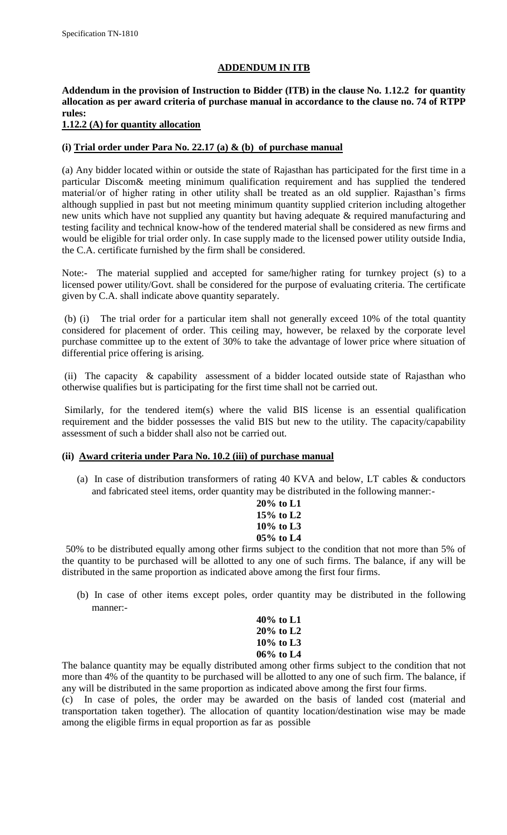#### **ADDENDUM IN ITB**

# **Addendum in the provision of Instruction to Bidder (ITB) in the clause No. 1.12.2 for quantity allocation as per award criteria of purchase manual in accordance to the clause no. 74 of RTPP rules:**

# **1.12.2 (A) for quantity allocation**

## **(i) Trial order under Para No. 22.17 (a) & (b) of purchase manual**

(a) Any bidder located within or outside the state of Rajasthan has participated for the first time in a particular Discom& meeting minimum qualification requirement and has supplied the tendered material/or of higher rating in other utility shall be treated as an old supplier. Rajasthan"s firms although supplied in past but not meeting minimum quantity supplied criterion including altogether new units which have not supplied any quantity but having adequate & required manufacturing and testing facility and technical know-how of the tendered material shall be considered as new firms and would be eligible for trial order only. In case supply made to the licensed power utility outside India, the C.A. certificate furnished by the firm shall be considered.

Note:- The material supplied and accepted for same/higher rating for turnkey project (s) to a licensed power utility/Govt. shall be considered for the purpose of evaluating criteria. The certificate given by C.A. shall indicate above quantity separately.

(b) (i) The trial order for a particular item shall not generally exceed 10% of the total quantity considered for placement of order. This ceiling may, however, be relaxed by the corporate level purchase committee up to the extent of 30% to take the advantage of lower price where situation of differential price offering is arising.

(ii) The capacity & capability assessment of a bidder located outside state of Rajasthan who otherwise qualifies but is participating for the first time shall not be carried out.

Similarly, for the tendered item(s) where the valid BIS license is an essential qualification requirement and the bidder possesses the valid BIS but new to the utility. The capacity/capability assessment of such a bidder shall also not be carried out.

#### **(ii) Award criteria under Para No. 10.2 (iii) of purchase manual**

(a) In case of distribution transformers of rating 40 KVA and below, LT cables & conductors and fabricated steel items, order quantity may be distributed in the following manner:-

| $20\%$ to L1 |
|--------------|
| 15% to $L2$  |
| $10\%$ to L3 |
| 05% to L4    |

50% to be distributed equally among other firms subject to the condition that not more than 5% of the quantity to be purchased will be allotted to any one of such firms. The balance, if any will be distributed in the same proportion as indicated above among the first four firms.

(b) In case of other items except poles, order quantity may be distributed in the following manner:-

| 40% to L1    |  |
|--------------|--|
| 20% to L2    |  |
| $10\%$ to L3 |  |
| 06% to L4    |  |

The balance quantity may be equally distributed among other firms subject to the condition that not more than 4% of the quantity to be purchased will be allotted to any one of such firm. The balance, if any will be distributed in the same proportion as indicated above among the first four firms.

(c) In case of poles, the order may be awarded on the basis of landed cost (material and transportation taken together). The allocation of quantity location/destination wise may be made among the eligible firms in equal proportion as far as possible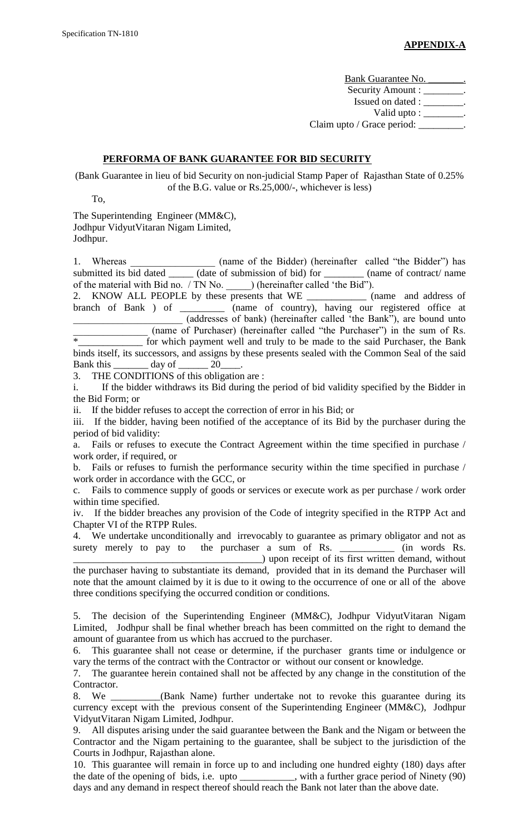Bank Guarantee No. \_\_\_\_\_\_\_\_. Security Amount : \_\_\_\_\_\_\_\_. Issued on dated : \_\_\_\_\_\_\_\_. Valid upto : \_\_\_\_\_\_\_\_. Claim upto / Grace period: \_\_\_\_\_\_\_\_\_.

## **PERFORMA OF BANK GUARANTEE FOR BID SECURITY**

(Bank Guarantee in lieu of bid Security on non-judicial Stamp Paper of Rajasthan State of 0.25% of the B.G. value or Rs.25,000/-, whichever is less)

To,

The Superintending Engineer (MM&C), Jodhpur VidyutVitaran Nigam Limited,

Jodhpur.

1. Whereas \_\_\_\_\_\_\_\_\_\_\_\_\_\_\_\_\_\_ (name of the Bidder) (hereinafter called "the Bidder") has submitted its bid dated \_\_\_\_\_\_ (date of submission of bid) for \_\_\_\_\_\_\_\_ (name of contract/ name of the material with Bid no. / TN No. \_\_\_\_\_) (hereinafter called "the Bid").

2. KNOW ALL PEOPLE by these presents that WE \_\_\_\_\_\_\_\_\_\_\_\_ (name and address of branch of Bank ) of \_\_\_\_\_\_\_\_\_ (name of country), having our registered office at \_\_\_\_\_\_\_\_\_\_\_\_\_\_\_\_\_\_\_\_\_\_ (addresses of bank) (hereinafter called "the Bank"), are bound unto  $\frac{1}{\text{max}}$  (name of Purchaser) (hereinafter called "the Purchaser") in the sum of Rs. for which payment well and truly to be made to the said Purchaser, the Bank binds itself, its successors, and assigns by these presents sealed with the Common Seal of the said Bank this \_\_\_\_\_\_\_ day of \_\_\_\_\_\_ 20\_\_\_\_.

3. THE CONDITIONS of this obligation are :

i. If the bidder withdraws its Bid during the period of bid validity specified by the Bidder in the Bid Form; or

ii. If the bidder refuses to accept the correction of error in his Bid; or

iii. If the bidder, having been notified of the acceptance of its Bid by the purchaser during the period of bid validity:

a. Fails or refuses to execute the Contract Agreement within the time specified in purchase / work order, if required, or

b. Fails or refuses to furnish the performance security within the time specified in purchase / work order in accordance with the GCC, or

c. Fails to commence supply of goods or services or execute work as per purchase / work order within time specified.

iv. If the bidder breaches any provision of the Code of integrity specified in the RTPP Act and Chapter VI of the RTPP Rules.

4. We undertake unconditionally and irrevocably to guarantee as primary obligator and not as surety merely to pay to the purchaser a sum of Rs. \_\_\_\_\_\_\_\_\_\_\_\_ (in words Rs. \_\_\_\_\_\_\_\_\_\_\_\_\_\_\_\_\_\_\_\_\_\_\_\_\_\_\_\_\_\_\_\_\_\_\_\_\_\_) upon receipt of its first written demand, without

the purchaser having to substantiate its demand, provided that in its demand the Purchaser will note that the amount claimed by it is due to it owing to the occurrence of one or all of the above three conditions specifying the occurred condition or conditions.

5. The decision of the Superintending Engineer (MM&C), Jodhpur VidyutVitaran Nigam Limited, Jodhpur shall be final whether breach has been committed on the right to demand the amount of guarantee from us which has accrued to the purchaser.

6. This guarantee shall not cease or determine, if the purchaser grants time or indulgence or vary the terms of the contract with the Contractor or without our consent or knowledge.

7. The guarantee herein contained shall not be affected by any change in the constitution of the Contractor.

8. We \_\_\_\_\_\_\_\_\_\_(Bank Name) further undertake not to revoke this guarantee during its currency except with the previous consent of the Superintending Engineer (MM&C), Jodhpur VidyutVitaran Nigam Limited, Jodhpur.

9. All disputes arising under the said guarantee between the Bank and the Nigam or between the Contractor and the Nigam pertaining to the guarantee, shall be subject to the jurisdiction of the Courts in Jodhpur, Rajasthan alone.

10. This guarantee will remain in force up to and including one hundred eighty (180) days after the date of the opening of bids, i.e. upto \_\_\_\_\_\_\_\_\_\_\_, with a further grace period of Ninety (90) days and any demand in respect thereof should reach the Bank not later than the above date.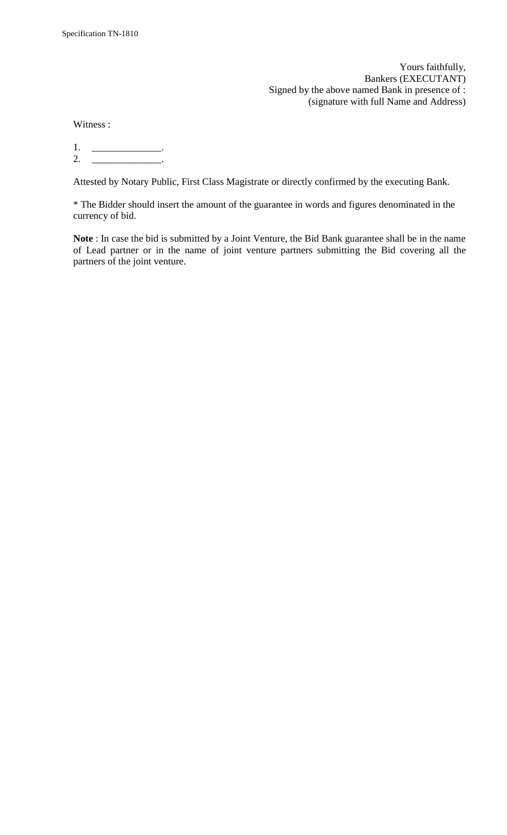Yours faithfully, Bankers (EXECUTANT) Signed by the above named Bank in presence of : (signature with full Name and Address)

Witness :

1. \_\_\_\_\_\_\_\_\_\_\_\_\_\_. 2. \_\_\_\_\_\_\_\_\_\_\_\_\_\_\_\_\_\_.

Attested by Notary Public, First Class Magistrate or directly confirmed by the executing Bank.

\* The Bidder should insert the amount of the guarantee in words and figures denominated in the currency of bid.

**Note** : In case the bid is submitted by a Joint Venture, the Bid Bank guarantee shall be in the name of Lead partner or in the name of joint venture partners submitting the Bid covering all the partners of the joint venture.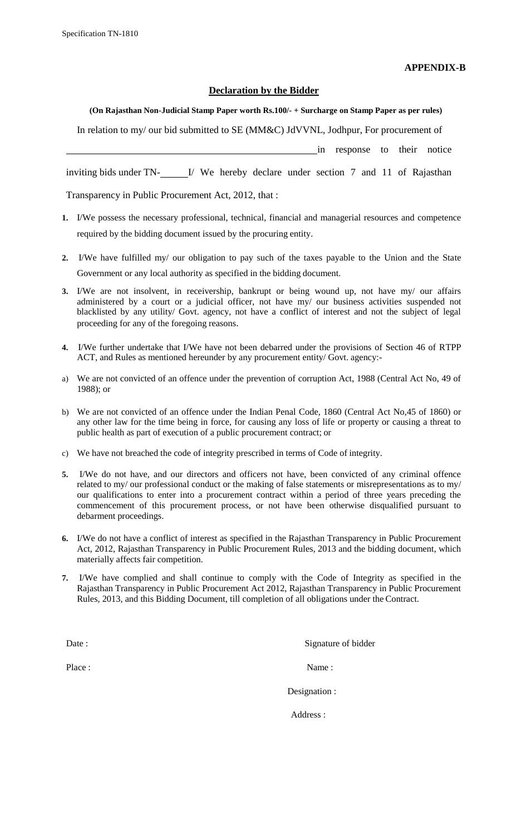**APPENDIX-B**

#### **Declaration by the Bidder**

# **(On Rajasthan Non-Judicial Stamp Paper worth Rs.100/- + Surcharge on Stamp Paper as per rules)** In relation to my/ our bid submitted to SE (MM&C) JdVVNL, Jodhpur, For procurement of in response to their notice

inviting bids under TN- I/ We hereby declare under section 7 and 11 of Rajasthan

Transparency in Public Procurement Act, 2012, that :

- **1.** I/We possess the necessary professional, technical, financial and managerial resources and competence required by the bidding document issued by the procuring entity.
- **2.** I/We have fulfilled my/ our obligation to pay such of the taxes payable to the Union and the State Government or any local authority as specified in the bidding document.
- **3.** I/We are not insolvent, in receivership, bankrupt or being wound up, not have my/ our affairs administered by a court or a judicial officer, not have my/ our business activities suspended not blacklisted by any utility/ Govt. agency, not have a conflict of interest and not the subject of legal proceeding for any of the foregoing reasons.
- **4.** I/We further undertake that I/We have not been debarred under the provisions of Section 46 of RTPP ACT, and Rules as mentioned hereunder by any procurement entity/ Govt. agency:-
- a) We are not convicted of an offence under the prevention of corruption Act, 1988 (Central Act No, 49 of 1988); or
- b) We are not convicted of an offence under the Indian Penal Code, 1860 (Central Act No,45 of 1860) or any other law for the time being in force, for causing any loss of life or property or causing a threat to public health as part of execution of a public procurement contract; or
- c) We have not breached the code of integrity prescribed in terms of Code of integrity.
- **5.** I/We do not have, and our directors and officers not have, been convicted of any criminal offence related to my/ our professional conduct or the making of false statements or misrepresentations as to my/ our qualifications to enter into a procurement contract within a period of three years preceding the commencement of this procurement process, or not have been otherwise disqualified pursuant to debarment proceedings.
- **6.** I/We do not have a conflict of interest as specified in the Rajasthan Transparency in Public Procurement Act, 2012, Rajasthan Transparency in Public Procurement Rules, 2013 and the bidding document, which materially affects fair competition.
- **7.** I/We have complied and shall continue to comply with the Code of Integrity as specified in the Rajasthan Transparency in Public Procurement Act 2012, Rajasthan Transparency in Public Procurement Rules, 2013, and this Bidding Document, till completion of all obligations under the Contract.

Date : Signature of bidder

Place : Name : Name : Name : Name : Name : Name : Name : Name : Name : Name : Name : Name : Name : Name : Name :  $\frac{1}{2}$ 

Designation :

Address :